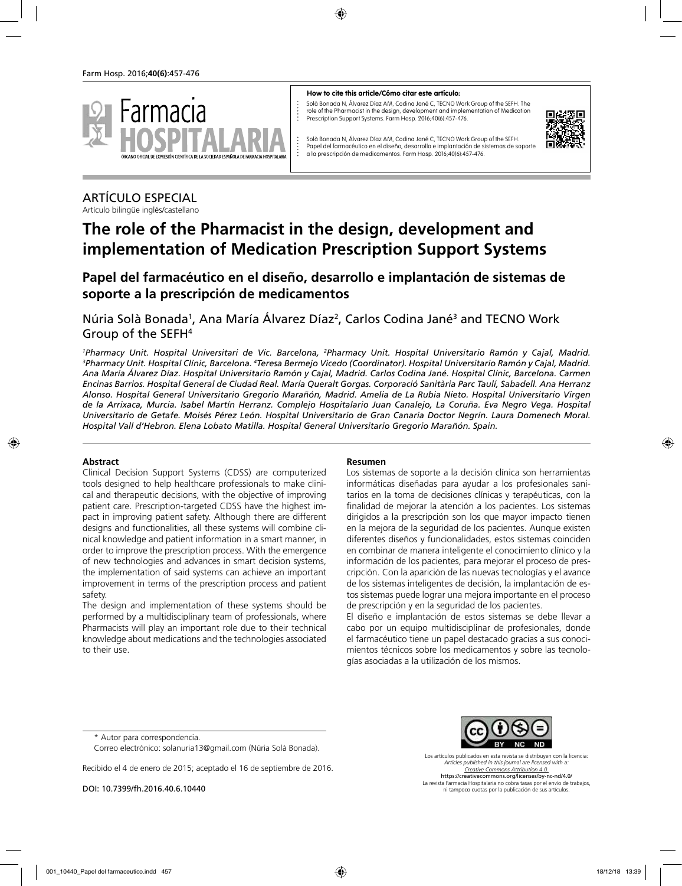

#### **How to cite this article/Cómo citar este artículo:**

Solà Bonada N, Álvarez Díaz AM, Codina Jané C, TECNO Work Group of the SEFH. The role of the Pharmacist in the design, development and implementation of Medication Prescription Support Systems. Farm Hosp. 2016;40(6):457-476.



Solà Bonada N, Álvarez Díaz AM, Codina Jané C, TECNO Work Group of the SEFH. Papel del farmacéutico en el diseño, desarrollo e implantación de sistemas de soporte a la prescripción de medicamentos. Farm Hosp. 2016;40(6):457-476.

#### ARTÍCULO ESPECIAL Artículo bilingüe inglés/castellano

# **The role of the Pharmacist in the design, development and implementation of Medication Prescription Support Systems**

# **Papel del farmacéutico en el diseño, desarrollo e implantación de sistemas de soporte a la prescripción de medicamentos**

Núria Solà Bonada<sup>1</sup>, Ana María Álvarez Díaz<sup>2</sup>, Carlos Codina Jané<sup>3</sup> and TECNO Work Group of the SEFH4

<sup>1</sup>Pharmacy Unit. Hospital Universitari de Vic. Barcelona, <sup>2</sup>Pharmacy Unit. Hospital Universitario Ramón y Cajal, Madrid.<br><sup>3</sup>PharmacyTInit HospitalClínic Barcelona <sup>4</sup>Teresa.Bermeio.Vicedo.(Coordinator) HospitalTIniversit Pharmacy Unit. Hospital Clínic, Barcelona. <sup>4</sup>Teresa Bermejo Vicedo (Coordinator). Hospital Universitario Ramón y Cajal, Madrid. *Ana María Álvarez Díaz. Hospital Universitario Ramón y Cajal, Madrid. Carlos Codina Jané. Hospital Clínic, Barcelona. Carmen Encinas Barrios. Hospital General de Ciudad Real. María Queralt Gorgas. Corporació Sanitària Parc Taulí, Sabadell. Ana Herranz Alonso. Hospital General Universitario Gregorio Marañón, Madrid. Amelia de La Rubia Nieto. Hospital Universitario Virgen de la Arrixaca, Murcia. Isabel Martín Herranz. Complejo Hospitalario Juan Canalejo, La Coruña. Eva Negro Vega. Hospital Universitario de Getafe. Moisés Pérez León. Hospital Universitario de Gran Canaria Doctor Negrín. Laura Domenech Moral. Hospital Vall d'Hebron. Elena Lobato Matilla. Hospital General Universitario Gregorio Marañón. Spain.*

#### **Abstract**

Clinical Decision Support Systems (CDSS) are computerized tools designed to help healthcare professionals to make clinical and therapeutic decisions, with the objective of improving patient care. Prescription-targeted CDSS have the highest impact in improving patient safety. Although there are different designs and functionalities, all these systems will combine clinical knowledge and patient information in a smart manner, in order to improve the prescription process. With the emergence of new technologies and advances in smart decision systems, the implementation of said systems can achieve an important improvement in terms of the prescription process and patient safety.

The design and implementation of these systems should be performed by a multidisciplinary team of professionals, where Pharmacists will play an important role due to their technical knowledge about medications and the technologies associated to their use.

#### **Resumen**

Los sistemas de soporte a la decisión clínica son herramientas informáticas diseñadas para ayudar a los profesionales sanitarios en la toma de decisiones clínicas y terapéuticas, con la finalidad de mejorar la atención a los pacientes. Los sistemas dirigidos a la prescripción son los que mayor impacto tienen en la mejora de la seguridad de los pacientes. Aunque existen diferentes diseños y funcionalidades, estos sistemas coinciden en combinar de manera inteligente el conocimiento clínico y la información de los pacientes, para mejorar el proceso de prescripción. Con la aparición de las nuevas tecnologías y el avance de los sistemas inteligentes de decisión, la implantación de estos sistemas puede lograr una mejora importante en el proceso de prescripción y en la seguridad de los pacientes.

El diseño e implantación de estos sistemas se debe llevar a cabo por un equipo multidisciplinar de profesionales, donde el farmacéutico tiene un papel destacado gracias a sus conocimientos técnicos sobre los medicamentos y sobre las tecnologías asociadas a la utilización de los mismos.

Recibido el 4 de enero de 2015; aceptado el 16 de septiembre de 2016.

DOI: 10.7399/fh.2016.40.6.10440

Los artículos publicados en esta revista se distribuyen con la licencia: *Articles published in this journal are licensed with a: Creative Commons Attribution 4.0.* https://creativecommons.org/licenses/by-nc-nd/4.0/

La revista Farmacia Hospitalaria no cobra tasas por el envío de trabajos, ni tampoco cuotas por la publicación de sus artículos.

<sup>\*</sup> Autor para correspondencia.

Correo electrónico: solanuria13@gmail.com (Núria Solà Bonada).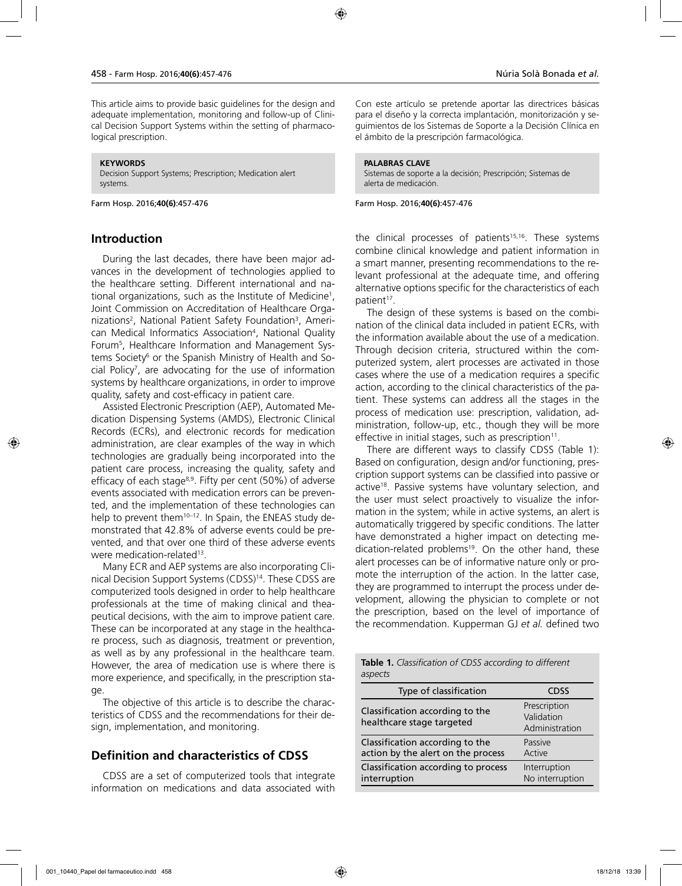This article aims to provide basic guidelines for the design and adequate implementation, monitoring and follow-up of Clinical Decision Support Systems within the setting of pharmacological prescription.

#### **KEYWORDS**

Decision Support Systems; Prescription; Medication alert systems.

Farm Hosp. 2016;**40(6)**:457-476

### **Introduction**

During the last decades, there have been major advances in the development of technologies applied to the healthcare setting. Different international and national organizations, such as the Institute of Medicine1 , Joint Commission on Accreditation of Healthcare Organizations<sup>2</sup>, National Patient Safety Foundation<sup>3</sup>, American Medical Informatics Association4 , National Quality Forum5 , Healthcare Information and Management Systems Society<sup>6</sup> or the Spanish Ministry of Health and Social Policy7 , are advocating for the use of information systems by healthcare organizations, in order to improve quality, safety and cost-efficacy in patient care.

Assisted Electronic Prescription (AEP), Automated Medication Dispensing Systems (AMDS), Electronic Clinical Records (ECRs), and electronic records for medication administration, are clear examples of the way in which technologies are gradually being incorporated into the patient care process, increasing the quality, safety and efficacy of each stage<sup>8,9</sup>. Fifty per cent (50%) of adverse events associated with medication errors can be prevented, and the implementation of these technologies can help to prevent them<sup>10-12</sup>. In Spain, the ENEAS study demonstrated that 42.8% of adverse events could be prevented, and that over one third of these adverse events were medication-related<sup>13</sup>.

Many ECR and AEP systems are also incorporating Clinical Decision Support Systems (CDSS)<sup>14</sup>. These CDSS are computerized tools designed in order to help healthcare professionals at the time of making clinical and theapeutical decisions, with the aim to improve patient care. These can be incorporated at any stage in the healthcare process, such as diagnosis, treatment or prevention, as well as by any professional in the healthcare team. However, the area of medication use is where there is more experience, and specifically, in the prescription stage.

The objective of this article is to describe the characteristics of CDSS and the recommendations for their design, implementation, and monitoring.

# **Definition and characteristics of CDSS**

CDSS are a set of computerized tools that integrate information on medications and data associated with Con este artículo se pretende aportar las directrices básicas para el diseño y la correcta implantación, monitorización y seguimientos de los Sistemas de Soporte a la Decisión Clínica en el ámbito de la prescripción farmacológica.

#### **PALABRAS CLAVE**

Sistemas de soporte a la decisión; Prescripción; Sistemas de alerta de medicación.

Farm Hosp. 2016;**40(6)**:457-476

the clinical processes of patients<sup>15,16</sup>. These systems combine clinical knowledge and patient information in a smart manner, presenting recommendations to the relevant professional at the adequate time, and offering alternative options specific for the characteristics of each patient<sup>17</sup>.

The design of these systems is based on the combination of the clinical data included in patient ECRs, with the information available about the use of a medication. Through decision criteria, structured within the computerized system, alert processes are activated in those cases where the use of a medication requires a specific action, according to the clinical characteristics of the patient. These systems can address all the stages in the process of medication use: prescription, validation, administration, follow-up, etc., though they will be more effective in initial stages, such as prescription $11$ .

There are different ways to classify CDSS (Table 1): Based on configuration, design and/or functioning, prescription support systems can be classified into passive or active<sup>18</sup>. Passive systems have voluntary selection, and the user must select proactively to visualize the information in the system; while in active systems, an alert is automatically triggered by specific conditions. The latter have demonstrated a higher impact on detecting medication-related problems<sup>19</sup>. On the other hand, these alert processes can be of informative nature only or promote the interruption of the action. In the latter case, they are programmed to interrupt the process under development, allowing the physician to complete or not the prescription, based on the level of importance of the recommendation. Kupperman GJ *et al.* defined two

| aspects                                                               |                                              |
|-----------------------------------------------------------------------|----------------------------------------------|
| Type of classification                                                | CDSS                                         |
| Classification according to the<br>healthcare stage targeted          | Prescription<br>Validation<br>Administration |
| Classification according to the<br>action by the alert on the process | Passive<br>Active                            |
| Classification according to process<br>interruption                   | Interruption<br>No interruption              |

**Table 1.** *Classification of CDSS according to different*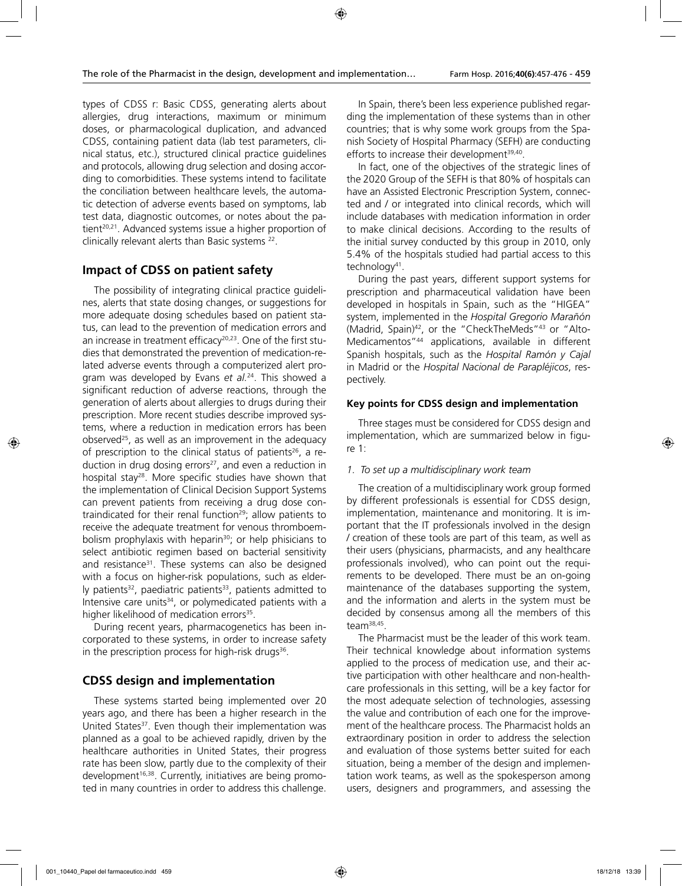types of CDSS r: Basic CDSS, generating alerts about allergies, drug interactions, maximum or minimum doses, or pharmacological duplication, and advanced CDSS, containing patient data (lab test parameters, clinical status, etc.), structured clinical practice guidelines and protocols, allowing drug selection and dosing according to comorbidities. These systems intend to facilitate the conciliation between healthcare levels, the automatic detection of adverse events based on symptoms, lab test data, diagnostic outcomes, or notes about the patient<sup>20,21</sup>. Advanced systems issue a higher proportion of clinically relevant alerts than Basic systems 22.

# **Impact of CDSS on patient safety**

The possibility of integrating clinical practice guidelines, alerts that state dosing changes, or suggestions for more adequate dosing schedules based on patient status, can lead to the prevention of medication errors and an increase in treatment efficacy<sup>20,23</sup>. One of the first studies that demonstrated the prevention of medication-related adverse events through a computerized alert program was developed by Evans *et al.*24. This showed a significant reduction of adverse reactions, through the generation of alerts about allergies to drugs during their prescription. More recent studies describe improved systems, where a reduction in medication errors has been observed25, as well as an improvement in the adequacy of prescription to the clinical status of patients<sup>26</sup>, a reduction in drug dosing errors<sup>27</sup>, and even a reduction in hospital stay<sup>28</sup>. More specific studies have shown that the implementation of Clinical Decision Support Systems can prevent patients from receiving a drug dose contraindicated for their renal function<sup>29</sup>; allow patients to receive the adequate treatment for venous thromboembolism prophylaxis with heparin<sup>30</sup>; or help phisicians to select antibiotic regimen based on bacterial sensitivity and resistance<sup>31</sup>. These systems can also be designed with a focus on higher-risk populations, such as elderly patients $32$ , paediatric patients $33$ , patients admitted to Intensive care units<sup>34</sup>, or polymedicated patients with a higher likelihood of medication errors<sup>35</sup>.

During recent years, pharmacogenetics has been incorporated to these systems, in order to increase safety in the prescription process for high-risk drugs<sup>36</sup>.

### **CDSS design and implementation**

These systems started being implemented over 20 years ago, and there has been a higher research in the United States<sup>37</sup>. Even though their implementation was planned as a goal to be achieved rapidly, driven by the healthcare authorities in United States, their progress rate has been slow, partly due to the complexity of their development<sup>16,38</sup>. Currently, initiatives are being promoted in many countries in order to address this challenge.

In Spain, there's been less experience published regarding the implementation of these systems than in other countries; that is why some work groups from the Spanish Society of Hospital Pharmacy (SEFH) are conducting efforts to increase their development<sup>39,40</sup>.

In fact, one of the objectives of the strategic lines of the 2020 Group of the SEFH is that 80% of hospitals can have an Assisted Electronic Prescription System, connected and / or integrated into clinical records, which will include databases with medication information in order to make clinical decisions. According to the results of the initial survey conducted by this group in 2010, only 5.4% of the hospitals studied had partial access to this technology<sup>41</sup>.

During the past years, different support systems for prescription and pharmaceutical validation have been developed in hospitals in Spain, such as the "HIGEA" system, implemented in the *Hospital Gregorio Marañón* (Madrid, Spain)<sup>42</sup>, or the "CheckTheMeds"<sup>43</sup> or "Alto-Medicamentos"44 applications, available in different Spanish hospitals, such as the *Hospital Ramón y Cajal* in Madrid or the *Hospital Nacional de Parapléjicos*, respectively.

#### **Key points for CDSS design and implementation**

Three stages must be considered for CDSS design and implementation, which are summarized below in figure 1:

#### *1. To set up a multidisciplinary work team*

The creation of a multidisciplinary work group formed by different professionals is essential for CDSS design, implementation, maintenance and monitoring. It is important that the IT professionals involved in the design / creation of these tools are part of this team, as well as their users (physicians, pharmacists, and any healthcare professionals involved), who can point out the requirements to be developed. There must be an on-going maintenance of the databases supporting the system, and the information and alerts in the system must be decided by consensus among all the members of this team38,45.

The Pharmacist must be the leader of this work team. Their technical knowledge about information systems applied to the process of medication use, and their active participation with other healthcare and non-healthcare professionals in this setting, will be a key factor for the most adequate selection of technologies, assessing the value and contribution of each one for the improvement of the healthcare process. The Pharmacist holds an extraordinary position in order to address the selection and evaluation of those systems better suited for each situation, being a member of the design and implementation work teams, as well as the spokesperson among users, designers and programmers, and assessing the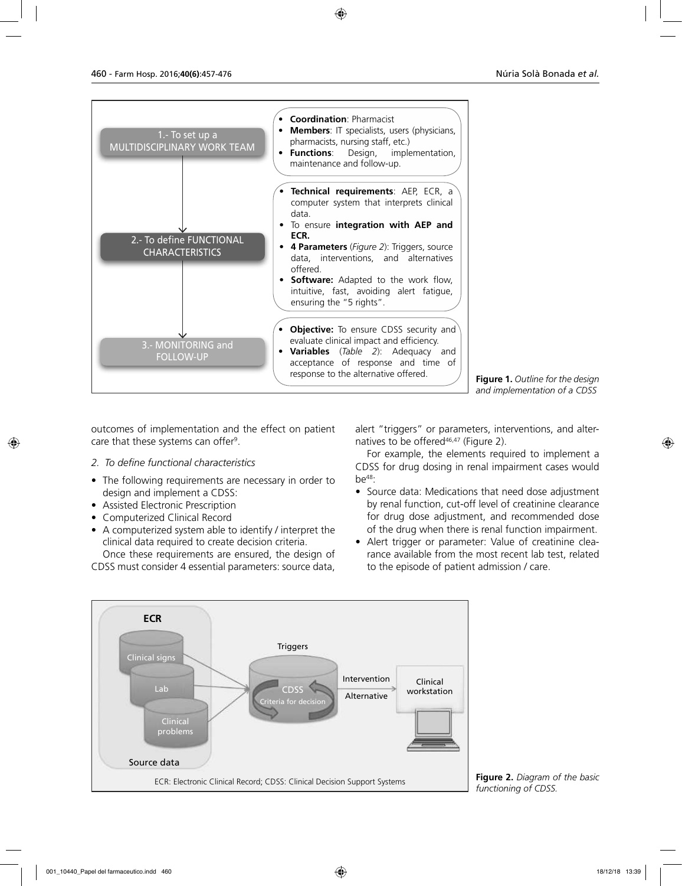

**Figure 1.** *Outline for the design and implementation of a CDSS*

outcomes of implementation and the effect on patient care that these systems can offer<sup>9</sup>.

### *2. To define functional characteristics*

- The following requirements are necessary in order to design and implement a CDSS:
- Assisted Electronic Prescription
- Computerized Clinical Record
- A computerized system able to identify / interpret the clinical data required to create decision criteria. Once these requirements are ensured, the design of

CDSS must consider 4 essential parameters: source data,

alert "triggers" or parameters, interventions, and alternatives to be offered<sup>46,47</sup> (Figure 2).

For example, the elements required to implement a CDSS for drug dosing in renal impairment cases would  $be^{48}$ :

- Source data: Medications that need dose adjustment by renal function, cut-off level of creatinine clearance for drug dose adjustment, and recommended dose of the drug when there is renal function impairment.
- Alert trigger or parameter: Value of creatinine clearance available from the most recent lab test, related to the episode of patient admission / care.



**Figure 2.** *Diagram of the basic*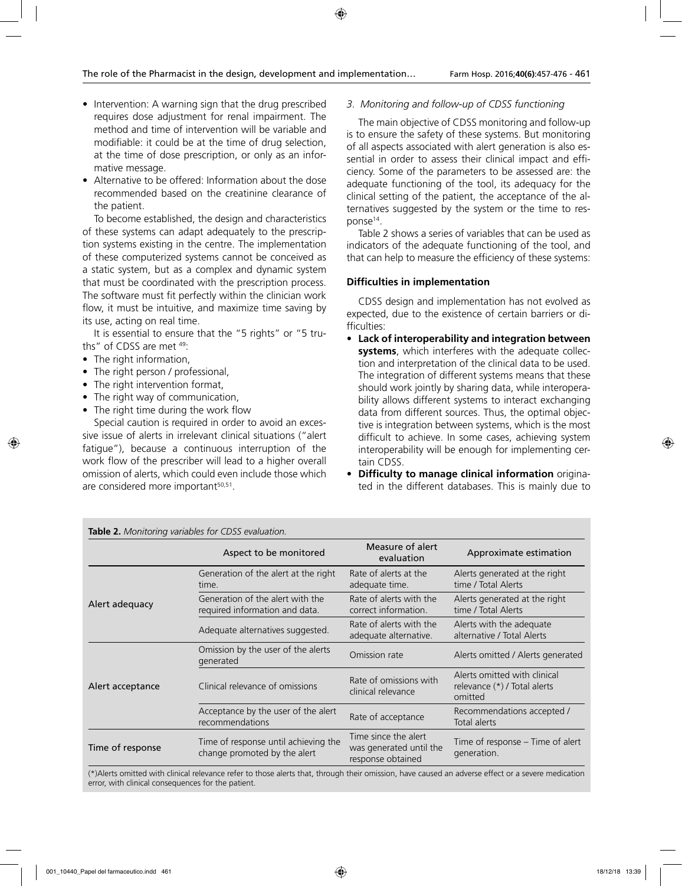- Intervention: A warning sign that the drug prescribed requires dose adjustment for renal impairment. The method and time of intervention will be variable and modifiable: it could be at the time of drug selection, at the time of dose prescription, or only as an informative message.
- Alternative to be offered: Information about the dose recommended based on the creatinine clearance of the patient.

To become established, the design and characteristics of these systems can adapt adequately to the prescription systems existing in the centre. The implementation of these computerized systems cannot be conceived as a static system, but as a complex and dynamic system that must be coordinated with the prescription process. The software must fit perfectly within the clinician work flow, it must be intuitive, and maximize time saving by its use, acting on real time.

It is essential to ensure that the "5 rights" or "5 truths" of CDSS are met 49:

- The right information,
- The right person / professional,
- The right intervention format,
- The right way of communication,
- The right time during the work flow

Special caution is required in order to avoid an excessive issue of alerts in irrelevant clinical situations ("alert fatigue"), because a continuous interruption of the work flow of the prescriber will lead to a higher overall omission of alerts, which could even include those which are considered more important<sup>50,51</sup>.

*3. Monitoring and follow-up of CDSS functioning* 

The main objective of CDSS monitoring and follow-up is to ensure the safety of these systems. But monitoring of all aspects associated with alert generation is also essential in order to assess their clinical impact and efficiency. Some of the parameters to be assessed are: the adequate functioning of the tool, its adequacy for the clinical setting of the patient, the acceptance of the alternatives suggested by the system or the time to response<sup>14</sup>.

Table 2 shows a series of variables that can be used as indicators of the adequate functioning of the tool, and that can help to measure the efficiency of these systems:

### **Difficulties in implementation**

CDSS design and implementation has not evolved as expected, due to the existence of certain barriers or difficulties:

- **Lack of interoperability and integration between systems**, which interferes with the adequate collection and interpretation of the clinical data to be used. The integration of different systems means that these should work jointly by sharing data, while interoperability allows different systems to interact exchanging data from different sources. Thus, the optimal objective is integration between systems, which is the most difficult to achieve. In some cases, achieving system interoperability will be enough for implementing certain CDSS.
- **Difficulty to manage clinical information** originated in the different databases. This is mainly due to

| <b>lable 2.</b> Monitoring variables for CDSS evaluation. |                                                                      |                                                                      |                                                                         |
|-----------------------------------------------------------|----------------------------------------------------------------------|----------------------------------------------------------------------|-------------------------------------------------------------------------|
|                                                           | Aspect to be monitored                                               | Measure of alert<br>evaluation                                       | Approximate estimation                                                  |
|                                                           | Generation of the alert at the right<br>time.                        | Rate of alerts at the<br>adequate time.                              | Alerts generated at the right<br>time / Total Alerts                    |
| Alert adequacy                                            | Generation of the alert with the<br>required information and data.   | Rate of alerts with the<br>correct information.                      | Alerts generated at the right<br>time / Total Alerts                    |
|                                                           | Adequate alternatives suggested.                                     | Rate of alerts with the<br>adequate alternative.                     | Alerts with the adequate<br>alternative / Total Alerts                  |
| Alert acceptance                                          | Omission by the user of the alerts<br>generated                      | Omission rate                                                        | Alerts omitted / Alerts generated                                       |
|                                                           | Clinical relevance of omissions                                      | Rate of omissions with<br>clinical relevance                         | Alerts omitted with clinical<br>relevance (*) / Total alerts<br>omitted |
|                                                           | Acceptance by the user of the alert<br>recommendations               | Rate of acceptance                                                   | Recommendations accepted /<br>Total alerts                              |
| Time of response                                          | Time of response until achieving the<br>change promoted by the alert | Time since the alert<br>was generated until the<br>response obtained | Time of response – Time of alert<br>generation.                         |

**Table 2.** *Monitoring variables for CDSS evaluation.* 

(\*)Alerts omitted with clinical relevance refer to those alerts that, through their omission, have caused an adverse effect or a severe medication error, with clinical consequences for the patient.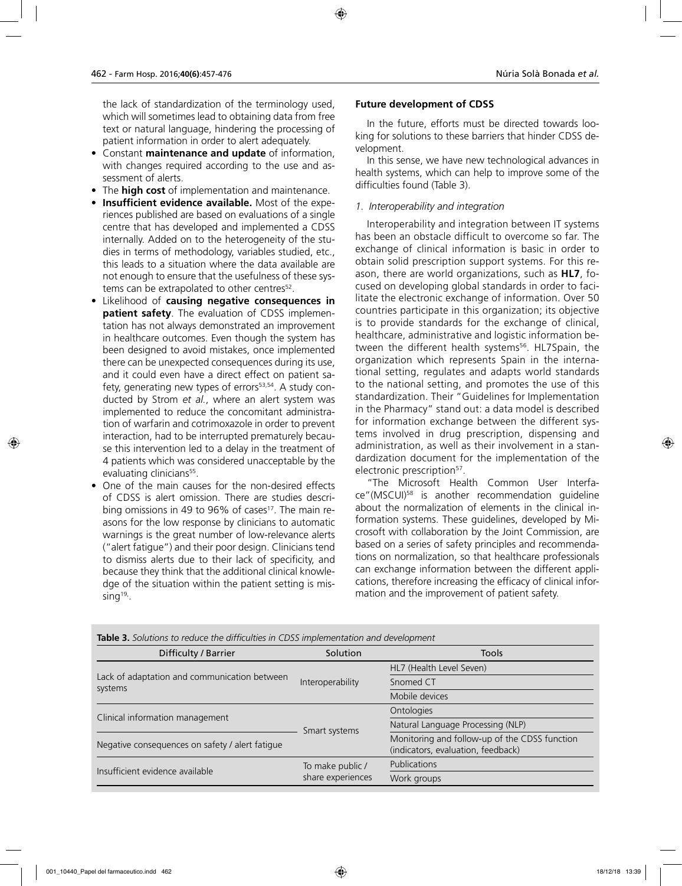the lack of standardization of the terminology used, which will sometimes lead to obtaining data from free text or natural language, hindering the processing of patient information in order to alert adequately.

- Constant **maintenance and update** of information, with changes required according to the use and assessment of alerts.
- The **high cost** of implementation and maintenance.
- **Insufficient evidence available.** Most of the experiences published are based on evaluations of a single centre that has developed and implemented a CDSS internally. Added on to the heterogeneity of the studies in terms of methodology, variables studied, etc., this leads to a situation where the data available are not enough to ensure that the usefulness of these systems can be extrapolated to other centres<sup>52</sup>.
- Likelihood of **causing negative consequences in patient safety**. The evaluation of CDSS implementation has not always demonstrated an improvement in healthcare outcomes. Even though the system has been designed to avoid mistakes, once implemented there can be unexpected consequences during its use, and it could even have a direct effect on patient safety, generating new types of errors<sup>53,54</sup>. A study conducted by Strom *et al.*, where an alert system was implemented to reduce the concomitant administration of warfarin and cotrimoxazole in order to prevent interaction, had to be interrupted prematurely because this intervention led to a delay in the treatment of 4 patients which was considered unacceptable by the evaluating clinicians<sup>55</sup>.
- One of the main causes for the non-desired effects of CDSS is alert omission. There are studies describing omissions in 49 to 96% of cases<sup>17</sup>. The main reasons for the low response by clinicians to automatic warnings is the great number of low-relevance alerts ("alert fatigue") and their poor design. Clinicians tend to dismiss alerts due to their lack of specificity, and because they think that the additional clinical knowledge of the situation within the patient setting is missing $19$ .

### **Future development of CDSS**

In the future, efforts must be directed towards looking for solutions to these barriers that hinder CDSS development.

In this sense, we have new technological advances in health systems, which can help to improve some of the difficulties found (Table 3).

### *1. Interoperability and integration*

Interoperability and integration between IT systems has been an obstacle difficult to overcome so far. The exchange of clinical information is basic in order to obtain solid prescription support systems. For this reason, there are world organizations, such as **HL7**, focused on developing global standards in order to facilitate the electronic exchange of information. Over 50 countries participate in this organization; its objective is to provide standards for the exchange of clinical, healthcare, administrative and logistic information between the different health systems<sup>56</sup>. HL7Spain, the organization which represents Spain in the international setting, regulates and adapts world standards to the national setting, and promotes the use of this standardization. Their "Guidelines for Implementation in the Pharmacy" stand out: a data model is described for information exchange between the different systems involved in drug prescription, dispensing and administration, as well as their involvement in a standardization document for the implementation of the electronic prescription<sup>57</sup>.

"The Microsoft Health Common User Interface"(MSCUI)58 is another recommendation guideline about the normalization of elements in the clinical information systems. These guidelines, developed by Microsoft with collaboration by the Joint Commission, are based on a series of safety principles and recommendations on normalization, so that healthcare professionals can exchange information between the different applications, therefore increasing the efficacy of clinical information and the improvement of patient safety.

| Difficulty / Barrier                                    | Solution                              | Tools                                                                               |
|---------------------------------------------------------|---------------------------------------|-------------------------------------------------------------------------------------|
| Lack of adaptation and communication between<br>systems | Interoperability                      | HL7 (Health Level Seven)                                                            |
|                                                         |                                       | Snomed CT                                                                           |
|                                                         |                                       | Mobile devices                                                                      |
|                                                         | Smart systems                         | <b>Ontologies</b>                                                                   |
| Clinical information management                         |                                       | Natural Language Processing (NLP)                                                   |
| Negative consequences on safety / alert fatique         |                                       | Monitoring and follow-up of the CDSS function<br>(indicators, evaluation, feedback) |
| Insufficient evidence available                         | To make public /<br>share experiences | Publications                                                                        |
|                                                         |                                       | Work groups                                                                         |

**Table 3.** *Solutions to reduce the difficulties in CDSS implementation and development*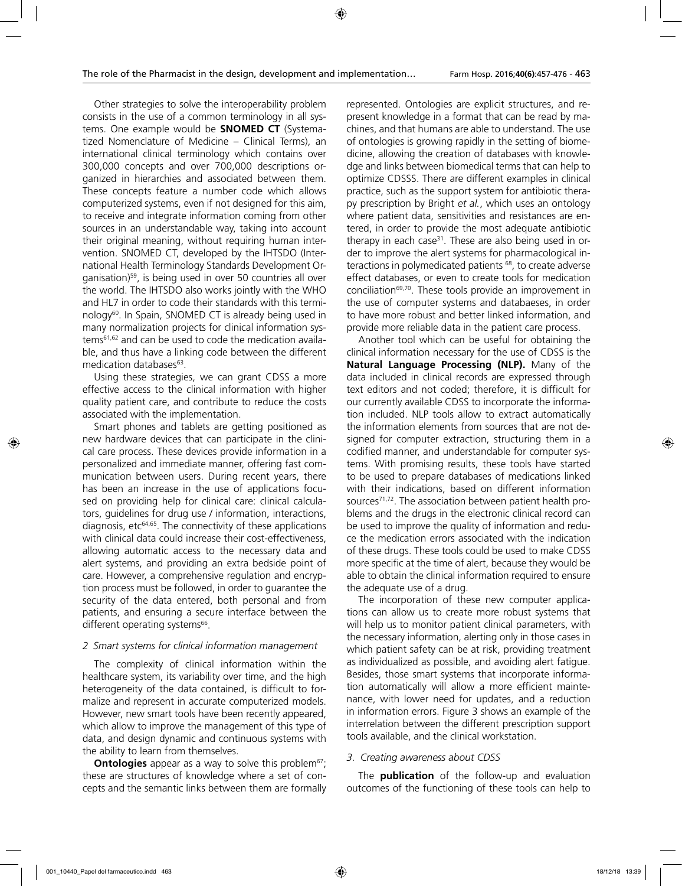Other strategies to solve the interoperability problem consists in the use of a common terminology in all systems. One example would be **SNOMED CT** (Systematized Nomenclature of Medicine – Clinical Terms), an international clinical terminology which contains over 300,000 concepts and over 700,000 descriptions organized in hierarchies and associated between them. These concepts feature a number code which allows computerized systems, even if not designed for this aim, to receive and integrate information coming from other sources in an understandable way, taking into account their original meaning, without requiring human intervention. SNOMED CT, developed by the IHTSDO (International Health Terminology Standards Development Organisation)59, is being used in over 50 countries all over the world. The IHTSDO also works jointly with the WHO and HL7 in order to code their standards with this terminology<sup>60</sup>. In Spain, SNOMED CT is already being used in many normalization projects for clinical information systems61,62 and can be used to code the medication available, and thus have a linking code between the different medication databases<sup>63</sup>.

Using these strategies, we can grant CDSS a more effective access to the clinical information with higher quality patient care, and contribute to reduce the costs associated with the implementation.

Smart phones and tablets are getting positioned as new hardware devices that can participate in the clinical care process. These devices provide information in a personalized and immediate manner, offering fast communication between users. During recent years, there has been an increase in the use of applications focused on providing help for clinical care: clinical calculators, guidelines for drug use / information, interactions, diagnosis, etc64,65. The connectivity of these applications with clinical data could increase their cost-effectiveness, allowing automatic access to the necessary data and alert systems, and providing an extra bedside point of care. However, a comprehensive regulation and encryption process must be followed, in order to guarantee the security of the data entered, both personal and from patients, and ensuring a secure interface between the different operating systems<sup>66</sup>.

#### *2 Smart systems for clinical information management*

The complexity of clinical information within the healthcare system, its variability over time, and the high heterogeneity of the data contained, is difficult to formalize and represent in accurate computerized models. However, new smart tools have been recently appeared, which allow to improve the management of this type of data, and design dynamic and continuous systems with the ability to learn from themselves.

**Ontologies** appear as a way to solve this problem<sup>67</sup>; these are structures of knowledge where a set of concepts and the semantic links between them are formally

represented. Ontologies are explicit structures, and represent knowledge in a format that can be read by machines, and that humans are able to understand. The use of ontologies is growing rapidly in the setting of biomedicine, allowing the creation of databases with knowledge and links between biomedical terms that can help to optimize CDSSS. There are different examples in clinical practice, such as the support system for antibiotic therapy prescription by Bright *et al.*, which uses an ontology where patient data, sensitivities and resistances are entered, in order to provide the most adequate antibiotic therapy in each case $31$ . These are also being used in order to improve the alert systems for pharmacological interactions in polymedicated patients <sup>68</sup>, to create adverse effect databases, or even to create tools for medication conciliation<sup>69,70</sup>. These tools provide an improvement in the use of computer systems and databaeses, in order to have more robust and better linked information, and provide more reliable data in the patient care process.

Another tool which can be useful for obtaining the clinical information necessary for the use of CDSS is the **Natural Language Processing (NLP).** Many of the data included in clinical records are expressed through text editors and not coded; therefore, it is difficult for our currently available CDSS to incorporate the information included. NLP tools allow to extract automatically the information elements from sources that are not designed for computer extraction, structuring them in a codified manner, and understandable for computer systems. With promising results, these tools have started to be used to prepare databases of medications linked with their indications, based on different information sources<sup>71,72</sup>. The association between patient health problems and the drugs in the electronic clinical record can be used to improve the quality of information and reduce the medication errors associated with the indication of these drugs. These tools could be used to make CDSS more specific at the time of alert, because they would be able to obtain the clinical information required to ensure the adequate use of a drug.

The incorporation of these new computer applications can allow us to create more robust systems that will help us to monitor patient clinical parameters, with the necessary information, alerting only in those cases in which patient safety can be at risk, providing treatment as individualized as possible, and avoiding alert fatigue. Besides, those smart systems that incorporate information automatically will allow a more efficient maintenance, with lower need for updates, and a reduction in information errors. Figure 3 shows an example of the interrelation between the different prescription support tools available, and the clinical workstation.

### *3. Creating awareness about CDSS*

The **publication** of the follow-up and evaluation outcomes of the functioning of these tools can help to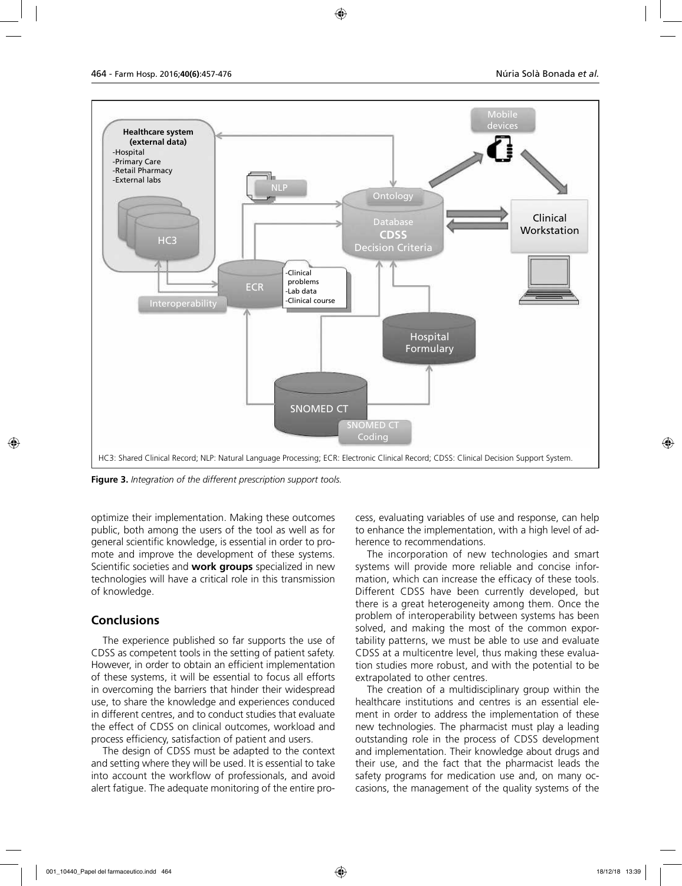

**Figure 3.** *Integration of the different prescription support tools.*

optimize their implementation. Making these outcomes public, both among the users of the tool as well as for general scientific knowledge, is essential in order to promote and improve the development of these systems. Scientific societies and **work groups** specialized in new technologies will have a critical role in this transmission of knowledge.

### **Conclusions**

The experience published so far supports the use of CDSS as competent tools in the setting of patient safety. However, in order to obtain an efficient implementation of these systems, it will be essential to focus all efforts in overcoming the barriers that hinder their widespread use, to share the knowledge and experiences conduced in different centres, and to conduct studies that evaluate the effect of CDSS on clinical outcomes, workload and process efficiency, satisfaction of patient and users.

The design of CDSS must be adapted to the context and setting where they will be used. It is essential to take into account the workflow of professionals, and avoid alert fatigue. The adequate monitoring of the entire process, evaluating variables of use and response, can help to enhance the implementation, with a high level of adherence to recommendations.

The incorporation of new technologies and smart systems will provide more reliable and concise information, which can increase the efficacy of these tools. Different CDSS have been currently developed, but there is a great heterogeneity among them. Once the problem of interoperability between systems has been solved, and making the most of the common exportability patterns, we must be able to use and evaluate CDSS at a multicentre level, thus making these evaluation studies more robust, and with the potential to be extrapolated to other centres.

The creation of a multidisciplinary group within the healthcare institutions and centres is an essential element in order to address the implementation of these new technologies. The pharmacist must play a leading outstanding role in the process of CDSS development and implementation. Their knowledge about drugs and their use, and the fact that the pharmacist leads the safety programs for medication use and, on many occasions, the management of the quality systems of the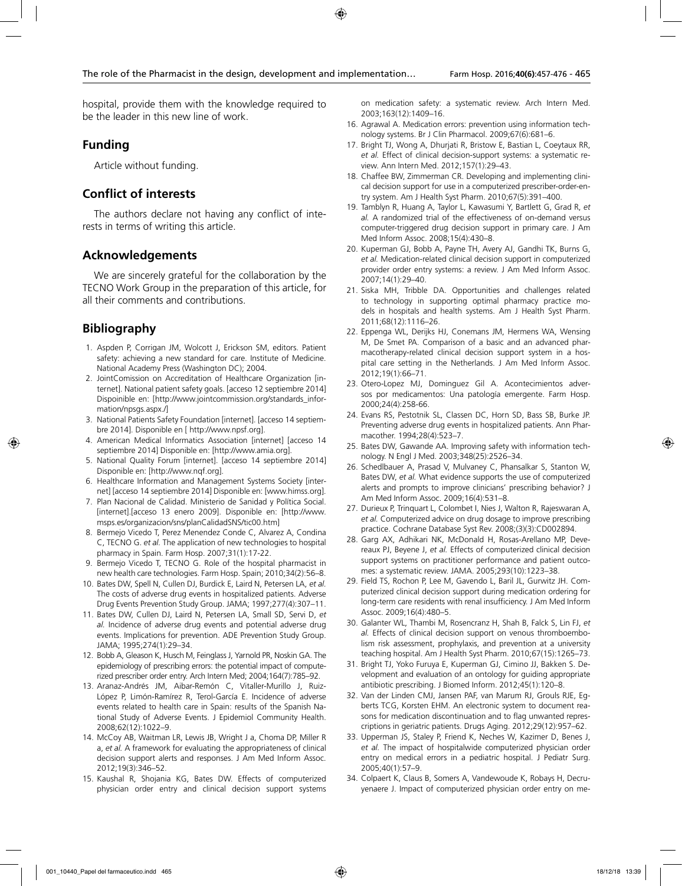hospital, provide them with the knowledge required to be the leader in this new line of work.

### **Funding**

Article without funding.

### **Conflict of interests**

The authors declare not having any conflict of interests in terms of writing this article.

### **Acknowledgements**

We are sincerely grateful for the collaboration by the TECNO Work Group in the preparation of this article, for all their comments and contributions.

# **Bibliography**

- 1. Aspden P, Corrigan JM, Wolcott J, Erickson SM, editors. Patient safety: achieving a new standard for care. Institute of Medicine. National Academy Press (Washington DC); 2004.
- 2. JointComission on Accreditation of Healthcare Organization [internet]. National patient safety goals. [acceso 12 septiembre 2014] Dispoinible en: [http://www.jointcommission.org/standards\_information/npsgs.aspx./]
- 3. National Patients Safety Foundation [internet]. [acceso 14 septiembre 2014]. Disponible en [ http://www.npsf.org].
- 4. American Medical Informatics Association [internet] [acceso 14 septiembre 2014] Disponible en: [http://www.amia.org].
- 5. National Quality Forum [internet]. [acceso 14 septiembre 2014] Disponible en: [http://www.nqf.org].
- 6. Healthcare Information and Management Systems Society [internet] [acceso 14 septiembre 2014] Disponible en: [www.himss.org].
- 7. Plan Nacional de Calidad. Ministerio de Sanidad y Política Social. [internet].[acceso 13 enero 2009]. Disponible en: [http://www. msps.es/organizacion/sns/planCalidadSNS/tic00.htm]
- 8. Bermejo Vicedo T, Perez Menendez Conde C, Alvarez A, Condina C, TECNO G. *et al.* The application of new technologies to hospital pharmacy in Spain. Farm Hosp. 2007;31(1):17-22.
- 9. Bermejo Vicedo T, TECNO G. Role of the hospital pharmacist in new health care technologies. Farm Hosp. Spain; 2010;34(2):56–8.
- 10. Bates DW, Spell N, Cullen DJ, Burdick E, Laird N, Petersen LA, *et al.* The costs of adverse drug events in hospitalized patients. Adverse Drug Events Prevention Study Group. JAMA; 1997;277(4):307–11.
- 11. Bates DW, Cullen DJ, Laird N, Petersen LA, Small SD, Servi D, *et al.* Incidence of adverse drug events and potential adverse drug events. Implications for prevention. ADE Prevention Study Group. JAMA; 1995;274(1):29–34.
- 12. Bobb A, Gleason K, Husch M, Feinglass J, Yarnold PR, Noskin GA. The epidemiology of prescribing errors: the potential impact of computerized prescriber order entry. Arch Intern Med; 2004;164(7):785–92.
- 13. Aranaz-Andrés JM, Aibar-Remón C, Vitaller-Murillo J, Ruiz-López P, Limón-Ramírez R, Terol-García E. Incidence of adverse events related to health care in Spain: results of the Spanish National Study of Adverse Events. J Epidemiol Community Health. 2008;62(12):1022–9.
- 14. McCoy AB, Waitman LR, Lewis JB, Wright J a, Choma DP, Miller R a, *et al.* A framework for evaluating the appropriateness of clinical decision support alerts and responses. J Am Med Inform Assoc. 2012;19(3):346–52.
- 15. Kaushal R, Shojania KG, Bates DW. Effects of computerized physician order entry and clinical decision support systems

on medication safety: a systematic review. Arch Intern Med. 2003;163(12):1409–16.

- 16. Agrawal A. Medication errors: prevention using information technology systems. Br J Clin Pharmacol. 2009;67(6):681–6.
- 17. Bright TJ, Wong A, Dhurjati R, Bristow E, Bastian L, Coeytaux RR, *et al.* Effect of clinical decision-support systems: a systematic review. Ann Intern Med. 2012;157(1):29–43.
- 18. Chaffee BW, Zimmerman CR. Developing and implementing clinical decision support for use in a computerized prescriber-order-entry system. Am J Health Syst Pharm. 2010;67(5):391–400.
- 19. Tamblyn R, Huang A, Taylor L, Kawasumi Y, Bartlett G, Grad R, *et al.* A randomized trial of the effectiveness of on-demand versus computer-triggered drug decision support in primary care. J Am Med Inform Assoc. 2008;15(4):430–8.
- 20. Kuperman GJ, Bobb A, Payne TH, Avery AJ, Gandhi TK, Burns G, *et al.* Medication-related clinical decision support in computerized provider order entry systems: a review. J Am Med Inform Assoc. 2007;14(1):29–40.
- 21. Siska MH, Tribble DA. Opportunities and challenges related to technology in supporting optimal pharmacy practice models in hospitals and health systems. Am J Health Syst Pharm. 2011;68(12):1116–26.
- 22. Eppenga WL, Derijks HJ, Conemans JM, Hermens WA, Wensing M, De Smet PA. Comparison of a basic and an advanced pharmacotherapy-related clinical decision support system in a hospital care setting in the Netherlands. J Am Med Inform Assoc. 2012;19(1):66–71.
- 23. Otero-Lopez MJ, Dominguez Gil A. Acontecimientos adversos por medicamentos: Una patología emergente. Farm Hosp. 2000;24(4):258-66.
- 24. Evans RS, Pestotnik SL, Classen DC, Horn SD, Bass SB, Burke JP. Preventing adverse drug events in hospitalized patients. Ann Pharmacother. 1994;28(4):523–7.
- 25. Bates DW, Gawande AA. Improving safety with information technology. N Engl J Med. 2003;348(25):2526–34.
- 26. Schedlbauer A, Prasad V, Mulvaney C, Phansalkar S, Stanton W, Bates DW, *et al.* What evidence supports the use of computerized alerts and prompts to improve clinicians' prescribing behavior? J Am Med Inform Assoc. 2009;16(4):531–8.
- 27. Durieux P, Trinquart L, Colombet I, Nies J, Walton R, Rajeswaran A, *et al.* Computerized advice on drug dosage to improve prescribing practice. Cochrane Database Syst Rev. 2008;(3)(3):CD002894.
- 28. Garg AX, Adhikari NK, McDonald H, Rosas-Arellano MP, Devereaux PJ, Beyene J, *et al.* Effects of computerized clinical decision support systems on practitioner performance and patient outcomes: a systematic review. JAMA. 2005;293(10):1223–38.
- 29. Field TS, Rochon P, Lee M, Gavendo L, Baril JL, Gurwitz JH. Computerized clinical decision support during medication ordering for long-term care residents with renal insufficiency. J Am Med Inform Assoc. 2009;16(4):480–5.
- 30. Galanter WL, Thambi M, Rosencranz H, Shah B, Falck S, Lin FJ, *et al.* Effects of clinical decision support on venous thromboembolism risk assessment, prophylaxis, and prevention at a university teaching hospital. Am J Health Syst Pharm. 2010;67(15):1265–73.
- 31. Bright TJ, Yoko Furuya E, Kuperman GJ, Cimino JJ, Bakken S. Development and evaluation of an ontology for guiding appropriate antibiotic prescribing. J Biomed Inform. 2012;45(1):120–8.
- 32. Van der Linden CMJ, Jansen PAF, van Marum RJ, Grouls RJE, Egberts TCG, Korsten EHM. An electronic system to document reasons for medication discontinuation and to flag unwanted represcriptions in geriatric patients. Drugs Aging. 2012;29(12):957–62.
- 33. Upperman JS, Staley P, Friend K, Neches W, Kazimer D, Benes J, *et al.* The impact of hospitalwide computerized physician order entry on medical errors in a pediatric hospital. J Pediatr Surg. 2005;40(1):57–9.
- 34. Colpaert K, Claus B, Somers A, Vandewoude K, Robays H, Decruyenaere J. Impact of computerized physician order entry on me-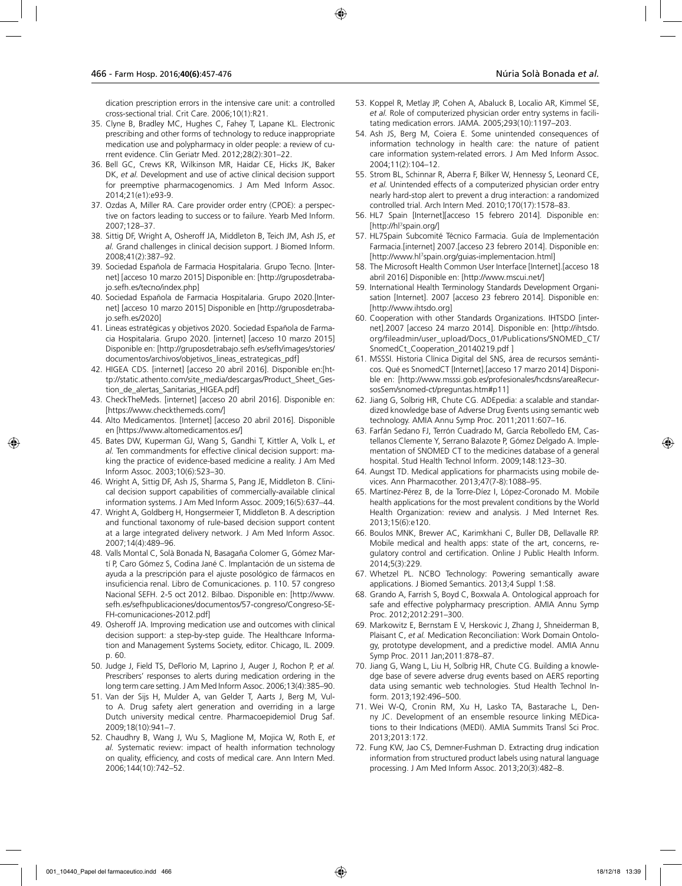dication prescription errors in the intensive care unit: a controlled cross-sectional trial. Crit Care. 2006;10(1):R21.

- 35. Clyne B, Bradley MC, Hughes C, Fahey T, Lapane KL. Electronic prescribing and other forms of technology to reduce inappropriate medication use and polypharmacy in older people: a review of current evidence. Clin Geriatr Med. 2012;28(2):301–22.
- 36. Bell GC, Crews KR, Wilkinson MR, Haidar CE, Hicks JK, Baker DK, *et al.* Development and use of active clinical decision support for preemptive pharmacogenomics. J Am Med Inform Assoc. 2014;21(e1):e93-9.
- 37. Ozdas A, Miller RA. Care provider order entry (CPOE): a perspective on factors leading to success or to failure. Yearb Med Inform. 2007;128–37.
- 38. Sittig DF, Wright A, Osheroff JA, Middleton B, Teich JM, Ash JS, *et al.* Grand challenges in clinical decision support. J Biomed Inform. 2008;41(2):387–92.
- 39. Sociedad Española de Farmacia Hospitalaria. Grupo Tecno. [Internet] [acceso 10 marzo 2015] Disponible en: [http://gruposdetrabajo.sefh.es/tecno/index.php]
- 40. Sociedad Española de Farmacia Hospitalaria. Grupo 2020.[Internet] [acceso 10 marzo 2015] Disponible en [http://gruposdetrabajo.sefh.es/2020]
- 41. Lineas estratégicas y objetivos 2020. Sociedad Española de Farmacia Hospitalaria. Grupo 2020. [internet] [acceso 10 marzo 2015] Disponible en: [http://gruposdetrabajo.sefh.es/sefh/images/stories/ documentos/archivos/objetivos\_lineas\_estrategicas\_pdf]
- 42. HIGEA CDS. [internet] [acceso 20 abril 2016]. Disponible en:[http://static.athento.com/site\_media/descargas/Product\_Sheet\_Gestion\_de\_alertas\_Sanitarias\_HIGEA.pdf]
- 43. CheckTheMeds. [internet] [acceso 20 abril 2016]. Disponible en: [https://www.checkthemeds.com/]
- 44. Alto Medicamentos. [Internet] [acceso 20 abril 2016]. Disponible en [https://www.altomedicamentos.es/]
- 45. Bates DW, Kuperman GJ, Wang S, Gandhi T, Kittler A, Volk L, *et al.* Ten commandments for effective clinical decision support: making the practice of evidence-based medicine a reality. J Am Med Inform Assoc. 2003;10(6):523–30.
- 46. Wright A, Sittig DF, Ash JS, Sharma S, Pang JE, Middleton B. Clinical decision support capabilities of commercially-available clinical information systems. J Am Med Inform Assoc. 2009;16(5):637–44.
- 47. Wright A, Goldberg H, Hongsermeier T, Middleton B. A description and functional taxonomy of rule-based decision support content at a large integrated delivery network. J Am Med Inform Assoc. 2007;14(4):489–96.
- 48. Valls Montal C, Solà Bonada N, Basagaña Colomer G, Gómez Martí P, Caro Gómez S, Codina Jané C. Implantación de un sistema de ayuda a la prescripción para el ajuste posológico de fármacos en insuficiencia renal. Libro de Comunicaciones. p. 110. 57 congreso Nacional SEFH. 2-5 oct 2012. Bilbao. Disponible en: [http://www. sefh.es/sefhpublicaciones/documentos/57-congreso/Congreso-SE-FH-comunicaciones-2012.pdf]
- 49. Osheroff JA. Improving medication use and outcomes with clinical decision support: a step-by-step guide. The Healthcare Information and Management Systems Society, editor. Chicago, IL. 2009. p. 60.
- 50. Judge J, Field TS, DeFlorio M, Laprino J, Auger J, Rochon P, *et al.* Prescribers' responses to alerts during medication ordering in the long term care setting. J Am Med Inform Assoc. 2006;13(4):385–90.
- 51. Van der Sijs H, Mulder A, van Gelder T, Aarts J, Berg M, Vulto A. Drug safety alert generation and overriding in a large Dutch university medical centre. Pharmacoepidemiol Drug Saf. 2009;18(10):941–7.
- 52. Chaudhry B, Wang J, Wu S, Maglione M, Mojica W, Roth E, *et al.* Systematic review: impact of health information technology on quality, efficiency, and costs of medical care. Ann Intern Med. 2006;144(10):742–52.
- 53. Koppel R, Metlay JP, Cohen A, Abaluck B, Localio AR, Kimmel SE, *et al.* Role of computerized physician order entry systems in facilitating medication errors. JAMA. 2005;293(10):1197–203.
- 54. Ash JS, Berg M, Coiera E. Some unintended consequences of information technology in health care: the nature of patient care information system-related errors. J Am Med Inform Assoc. 2004;11(2):104–12.
- 55. Strom BL, Schinnar R, Aberra F, Bilker W, Hennessy S, Leonard CE, *et al.* Unintended effects of a computerized physician order entry nearly hard-stop alert to prevent a drug interaction: a randomized controlled trial. Arch Intern Med. 2010;170(17):1578–83.
- 56. HL7 Spain [Internet][acceso 15 febrero 2014]. Disponible en: [http://hl7 spain.org/]
- 57. HL7Spain Subcomité Técnico Farmacia. Guía de Implementación Farmacia.[internet] 2007.[acceso 23 febrero 2014]. Disponible en: [http://www.hl7 spain.org/guias-implementacion.html]
- 58. The Microsoft Health Common User Interface [Internet].[acceso 18 abril 2016] Disponible en: [http://www.mscui.net/]
- 59. International Health Terminology Standards Development Organisation [Internet]. 2007 [acceso 23 febrero 2014]. Disponible en: [http://www.ihtsdo.org]
- 60. Cooperation with other Standards Organizations. IHTSDO [internet].2007 [acceso 24 marzo 2014]. Disponible en: [http://ihtsdo. org/fileadmin/user\_upload/Docs\_01/Publications/SNOMED\_CT/ SnomedCt\_Cooperation\_20140219.pdf ]
- 61. MSSSI. Historia Clínica Digital del SNS, área de recursos semánticos. Qué es SnomedCT [Internet].[acceso 17 marzo 2014] Disponible en: [http://www.msssi.gob.es/profesionales/hcdsns/areaRecursosSem/snomed-ct/preguntas.htm#p11]
- 62. Jiang G, Solbrig HR, Chute CG. ADEpedia: a scalable and standardized knowledge base of Adverse Drug Events using semantic web technology. AMIA Annu Symp Proc. 2011;2011:607–16.
- 63. Farfán Sedano FJ, Terrón Cuadrado M, García Rebolledo EM, Castellanos Clemente Y, Serrano Balazote P, Gómez Delgado A. Implementation of SNOMED CT to the medicines database of a general hospital. Stud Health Technol Inform. 2009;148:123–30.
- 64. Aungst TD. Medical applications for pharmacists using mobile devices. Ann Pharmacother. 2013;47(7-8):1088–95.
- 65. Martínez-Pérez B, de la Torre-Díez I, López-Coronado M. Mobile health applications for the most prevalent conditions by the World Health Organization: review and analysis. J Med Internet Res. 2013;15(6):e120.
- 66. Boulos MNK, Brewer AC, Karimkhani C, Buller DB, Dellavalle RP. Mobile medical and health apps: state of the art, concerns, regulatory control and certification. Online J Public Health Inform. 2014;5(3):229.
- 67. Whetzel PL. NCBO Technology: Powering semantically aware applications. J Biomed Semantics. 2013;4 Suppl 1:S8.
- 68. Grando A, Farrish S, Boyd C, Boxwala A. Ontological approach for safe and effective polypharmacy prescription. AMIA Annu Symp Proc. 2012;2012:291–300.
- 69. Markowitz E, Bernstam E V, Herskovic J, Zhang J, Shneiderman B, Plaisant C, *et al.* Medication Reconciliation: Work Domain Ontology, prototype development, and a predictive model. AMIA Annu Symp Proc. 2011 Jan;2011:878–87.
- 70. Jiang G, Wang L, Liu H, Solbrig HR, Chute CG. Building a knowledge base of severe adverse drug events based on AERS reporting data using semantic web technologies. Stud Health Technol Inform. 2013;192:496–500.
- 71. Wei W-Q, Cronin RM, Xu H, Lasko TA, Bastarache L, Denny JC. Development of an ensemble resource linking MEDications to their Indications (MEDI). AMIA Summits Transl Sci Proc. 2013;2013:172.
- 72. Fung KW, Jao CS, Demner-Fushman D. Extracting drug indication information from structured product labels using natural language processing. J Am Med Inform Assoc. 2013;20(3):482–8.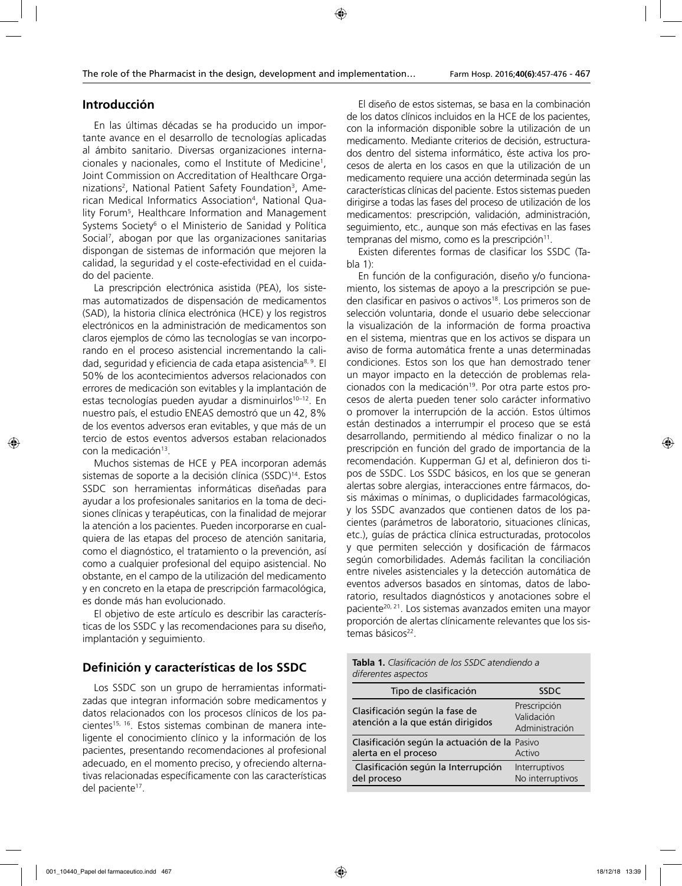# **Introducción**

En las últimas décadas se ha producido un importante avance en el desarrollo de tecnologías aplicadas al ámbito sanitario. Diversas organizaciones internacionales y nacionales, como el Institute of Medicine1 , Joint Commission on Accreditation of Healthcare Organizations<sup>2</sup>, National Patient Safety Foundation<sup>3</sup>, American Medical Informatics Association4 , National Quality Forum5 , Healthcare Information and Management Systems Society<sup>6</sup> o el Ministerio de Sanidad y Política Social7 , abogan por que las organizaciones sanitarias dispongan de sistemas de información que mejoren la calidad, la seguridad y el coste-efectividad en el cuidado del paciente.

La prescripción electrónica asistida (PEA), los sistemas automatizados de dispensación de medicamentos (SAD), la historia clínica electrónica (HCE) y los registros electrónicos en la administración de medicamentos son claros ejemplos de cómo las tecnologías se van incorporando en el proceso asistencial incrementando la calidad, seguridad y eficiencia de cada etapa asistencia<sup>8, 9</sup>. El 50% de los acontecimientos adversos relacionados con errores de medicación son evitables y la implantación de estas tecnologías pueden ayudar a disminuirlos<sup>10-12</sup>. En nuestro país, el estudio ENEAS demostró que un 42, 8% de los eventos adversos eran evitables, y que más de un tercio de estos eventos adversos estaban relacionados con la medicación<sup>13</sup>.

Muchos sistemas de HCE y PEA incorporan además sistemas de soporte a la decisión clínica (SSDC)<sup>14</sup>. Estos SSDC son herramientas informáticas diseñadas para ayudar a los profesionales sanitarios en la toma de decisiones clínicas y terapéuticas, con la finalidad de mejorar la atención a los pacientes. Pueden incorporarse en cualquiera de las etapas del proceso de atención sanitaria, como el diagnóstico, el tratamiento o la prevención, así como a cualquier profesional del equipo asistencial. No obstante, en el campo de la utilización del medicamento y en concreto en la etapa de prescripción farmacológica, es donde más han evolucionado.

El objetivo de este artículo es describir las características de los SSDC y las recomendaciones para su diseño, implantación y seguimiento.

# **Definición y características de los SSDC**

Los SSDC son un grupo de herramientas informatizadas que integran información sobre medicamentos y datos relacionados con los procesos clínicos de los pacientes<sup>15, 16</sup>. Estos sistemas combinan de manera inteligente el conocimiento clínico y la información de los pacientes, presentando recomendaciones al profesional adecuado, en el momento preciso, y ofreciendo alternativas relacionadas específicamente con las características del paciente<sup>17</sup>.

El diseño de estos sistemas, se basa en la combinación de los datos clínicos incluidos en la HCE de los pacientes, con la información disponible sobre la utilización de un medicamento. Mediante criterios de decisión, estructurados dentro del sistema informático, éste activa los procesos de alerta en los casos en que la utilización de un medicamento requiere una acción determinada según las características clínicas del paciente. Estos sistemas pueden dirigirse a todas las fases del proceso de utilización de los medicamentos: prescripción, validación, administración, seguimiento, etc., aunque son más efectivas en las fases  $tempranas$  del mismo, como es la prescripción $11$ .

Existen diferentes formas de clasificar los SSDC (Tabla 1):

En función de la configuración, diseño y/o funcionamiento, los sistemas de apoyo a la prescripción se pueden clasificar en pasivos o activos<sup>18</sup>. Los primeros son de selección voluntaria, donde el usuario debe seleccionar la visualización de la información de forma proactiva en el sistema, mientras que en los activos se dispara un aviso de forma automática frente a unas determinadas condiciones. Estos son los que han demostrado tener un mayor impacto en la detección de problemas relacionados con la medicación<sup>19</sup>. Por otra parte estos procesos de alerta pueden tener solo carácter informativo o promover la interrupción de la acción. Estos últimos están destinados a interrumpir el proceso que se está desarrollando, permitiendo al médico finalizar o no la prescripción en función del grado de importancia de la recomendación. Kupperman GJ et al, definieron dos tipos de SSDC. Los SSDC básicos, en los que se generan alertas sobre alergias, interacciones entre fármacos, dosis máximas o mínimas, o duplicidades farmacológicas, y los SSDC avanzados que contienen datos de los pacientes (parámetros de laboratorio, situaciones clínicas, etc.), guías de práctica clínica estructuradas, protocolos y que permiten selección y dosificación de fármacos según comorbilidades. Además facilitan la conciliación entre niveles asistenciales y la detección automática de eventos adversos basados en síntomas, datos de laboratorio, resultados diagnósticos y anotaciones sobre el paciente<sup>20, 21</sup>. Los sistemas avanzados emiten una mayor proporción de alertas clínicamente relevantes que los sistemas básicos<sup>22</sup>.

**Tabla 1.** *Clasificación de los SSDC atendiendo a diferentes aspectos*

| Tipo de clasificación                                                 | <b>SSDC</b>                                  |
|-----------------------------------------------------------------------|----------------------------------------------|
| Clasificación según la fase de<br>atención a la que están dirigidos   | Prescripción<br>Validación<br>Administración |
| Clasificación según la actuación de la Pasivo<br>alerta en el proceso | Activo                                       |
| Clasificación según la Interrupción<br>del proceso                    | Interruptivos<br>No interruptivos            |
|                                                                       |                                              |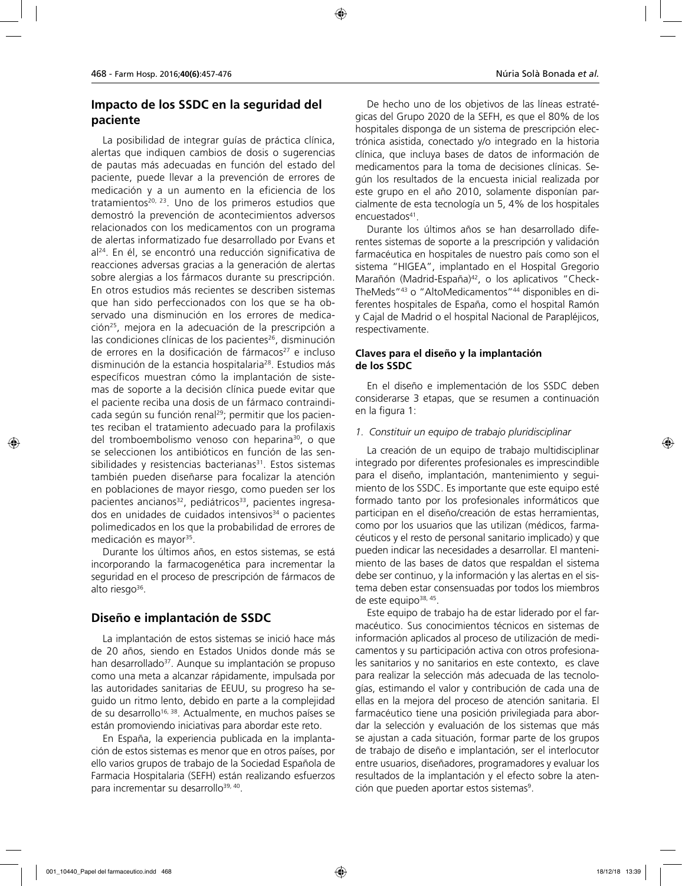# **Impacto de los SSDC en la seguridad del paciente**

La posibilidad de integrar guías de práctica clínica, alertas que indiquen cambios de dosis o sugerencias de pautas más adecuadas en función del estado del paciente, puede llevar a la prevención de errores de medicación y a un aumento en la eficiencia de los tratamientos<sup>20, 23</sup>. Uno de los primeros estudios que demostró la prevención de acontecimientos adversos relacionados con los medicamentos con un programa de alertas informatizado fue desarrollado por Evans et al24. En él, se encontró una reducción significativa de reacciones adversas gracias a la generación de alertas sobre alergias a los fármacos durante su prescripción. En otros estudios más recientes se describen sistemas que han sido perfeccionados con los que se ha observado una disminución en los errores de medicación25, mejora en la adecuación de la prescripción a las condiciones clínicas de los pacientes<sup>26</sup>, disminución de errores en la dosificación de fármacos<sup>27</sup> e incluso disminución de la estancia hospitalaria28. Estudios más específicos muestran cómo la implantación de sistemas de soporte a la decisión clínica puede evitar que el paciente reciba una dosis de un fármaco contraindicada según su función renal<sup>29</sup>; permitir que los pacientes reciban el tratamiento adecuado para la profilaxis del tromboembolismo venoso con heparina30, o que se seleccionen los antibióticos en función de las sensibilidades y resistencias bacterianas $31$ . Estos sistemas también pueden diseñarse para focalizar la atención en poblaciones de mayor riesgo, como pueden ser los pacientes ancianos<sup>32</sup>, pediátricos<sup>33</sup>, pacientes ingresados en unidades de cuidados intensivos<sup>34</sup> o pacientes polimedicados en los que la probabilidad de errores de medicación es mayor<sup>35</sup>.

Durante los últimos años, en estos sistemas, se está incorporando la farmacogenética para incrementar la seguridad en el proceso de prescripción de fármacos de alto riesgo $36$ .

### **Diseño e implantación de SSDC**

La implantación de estos sistemas se inició hace más de 20 años, siendo en Estados Unidos donde más se han desarrollado<sup>37</sup>. Aunque su implantación se propuso como una meta a alcanzar rápidamente, impulsada por las autoridades sanitarias de EEUU, su progreso ha seguido un ritmo lento, debido en parte a la complejidad de su desarrollo<sup>16, 38</sup>. Actualmente, en muchos países se están promoviendo iniciativas para abordar este reto.

En España, la experiencia publicada en la implantación de estos sistemas es menor que en otros países, por ello varios grupos de trabajo de la Sociedad Española de Farmacia Hospitalaria (SEFH) están realizando esfuerzos para incrementar su desarrollo<sup>39, 40</sup>.

De hecho uno de los objetivos de las líneas estratégicas del Grupo 2020 de la SEFH, es que el 80% de los hospitales disponga de un sistema de prescripción electrónica asistida, conectado y/o integrado en la historia clínica, que incluya bases de datos de información de medicamentos para la toma de decisiones clínicas. Según los resultados de la encuesta inicial realizada por este grupo en el año 2010, solamente disponían parcialmente de esta tecnología un 5, 4% de los hospitales encuestados<sup>41</sup>.

Durante los últimos años se han desarrollado diferentes sistemas de soporte a la prescripción y validación farmacéutica en hospitales de nuestro país como son el sistema "HIGEA", implantado en el Hospital Gregorio Marañón (Madrid-España)<sup>42</sup>, o los aplicativos "Check-TheMeds"43 o "AltoMedicamentos"44 disponibles en diferentes hospitales de España, como el hospital Ramón y Cajal de Madrid o el hospital Nacional de Parapléjicos, respectivamente.

### **Claves para el diseño y la implantación de los SSDC**

En el diseño e implementación de los SSDC deben considerarse 3 etapas, que se resumen a continuación en la figura 1:

#### *1. Constituir un equipo de trabajo pluridisciplinar*

La creación de un equipo de trabajo multidisciplinar integrado por diferentes profesionales es imprescindible para el diseño, implantación, mantenimiento y seguimiento de los SSDC. Es importante que este equipo esté formado tanto por los profesionales informáticos que participan en el diseño/creación de estas herramientas, como por los usuarios que las utilizan (médicos, farmacéuticos y el resto de personal sanitario implicado) y que pueden indicar las necesidades a desarrollar. El mantenimiento de las bases de datos que respaldan el sistema debe ser continuo, y la información y las alertas en el sistema deben estar consensuadas por todos los miembros de este equipo<sup>38, 45</sup>.

Este equipo de trabajo ha de estar liderado por el farmacéutico. Sus conocimientos técnicos en sistemas de información aplicados al proceso de utilización de medicamentos y su participación activa con otros profesionales sanitarios y no sanitarios en este contexto, es clave para realizar la selección más adecuada de las tecnologías, estimando el valor y contribución de cada una de ellas en la mejora del proceso de atención sanitaria. El farmacéutico tiene una posición privilegiada para abordar la selección y evaluación de los sistemas que más se ajustan a cada situación, formar parte de los grupos de trabajo de diseño e implantación, ser el interlocutor entre usuarios, diseñadores, programadores y evaluar los resultados de la implantación y el efecto sobre la atención que pueden aportar estos sistemas<sup>9</sup>.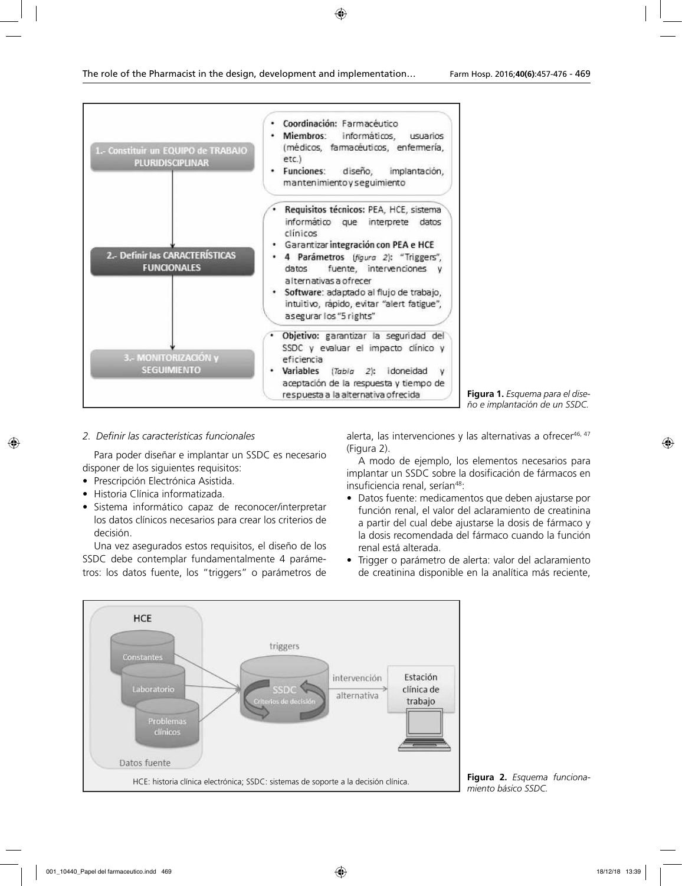

### *2. Definir las características funcionales*

Para poder diseñar e implantar un SSDC es necesario disponer de los siguientes requisitos:

- Prescripción Electrónica Asistida.
- Historia Clínica informatizada.
- Sistema informático capaz de reconocer/interpretar los datos clínicos necesarios para crear los criterios de decisión.

Una vez asegurados estos requisitos, el diseño de los SSDC debe contemplar fundamentalmente 4 parámetros: los datos fuente, los "triggers" o parámetros de alerta, las intervenciones y las alternativas a ofrecer46, 47 (Figura 2).

A modo de ejemplo, los elementos necesarios para implantar un SSDC sobre la dosificación de fármacos en insuficiencia renal, serían<sup>48</sup>:

- Datos fuente: medicamentos que deben ajustarse por función renal, el valor del aclaramiento de creatinina a partir del cual debe ajustarse la dosis de fármaco y la dosis recomendada del fármaco cuando la función renal está alterada.
- Trigger o parámetro de alerta: valor del aclaramiento de creatinina disponible en la analítica más reciente,



**Figura 2.** *Esquema funciona-*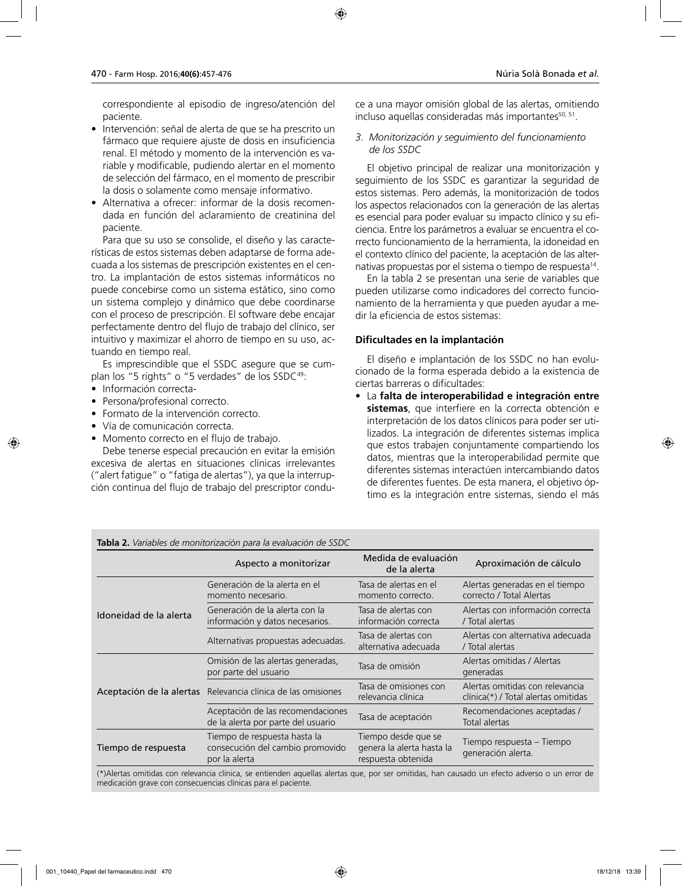correspondiente al episodio de ingreso/atención del paciente.

- Intervención: señal de alerta de que se ha prescrito un fármaco que requiere ajuste de dosis en insuficiencia renal. El método y momento de la intervención es variable y modificable, pudiendo alertar en el momento de selección del fármaco, en el momento de prescribir la dosis o solamente como mensaje informativo.
- Alternativa a ofrecer: informar de la dosis recomendada en función del aclaramiento de creatinina del paciente.

Para que su uso se consolide, el diseño y las características de estos sistemas deben adaptarse de forma adecuada a los sistemas de prescripción existentes en el centro. La implantación de estos sistemas informáticos no puede concebirse como un sistema estático, sino como un sistema complejo y dinámico que debe coordinarse con el proceso de prescripción. El software debe encajar perfectamente dentro del flujo de trabajo del clínico, ser intuitivo y maximizar el ahorro de tiempo en su uso, actuando en tiempo real.

Es imprescindible que el SSDC asegure que se cumplan los "5 rights" o "5 verdades" de los SSDC<sup>49</sup>:

- Información correcta-
- Persona/profesional correcto.
- Formato de la intervención correcto.
- Vía de comunicación correcta.
- Momento correcto en el flujo de trabajo.

Debe tenerse especial precaución en evitar la emisión excesiva de alertas en situaciones clínicas irrelevantes ("alert fatigue" o "fatiga de alertas"), ya que la interrupción continua del flujo de trabajo del prescriptor conduce a una mayor omisión global de las alertas, omitiendo incluso aquellas consideradas más importantes<sup>50, 51</sup>.

### *3. Monitorización y seguimiento del funcionamiento de los SSDC*

El objetivo principal de realizar una monitorización y seguimiento de los SSDC es garantizar la seguridad de estos sistemas. Pero además, la monitorización de todos los aspectos relacionados con la generación de las alertas es esencial para poder evaluar su impacto clínico y su eficiencia. Entre los parámetros a evaluar se encuentra el correcto funcionamiento de la herramienta, la idoneidad en el contexto clínico del paciente, la aceptación de las alternativas propuestas por el sistema o tiempo de respuesta<sup>14</sup>.

En la tabla 2 se presentan una serie de variables que pueden utilizarse como indicadores del correcto funcionamiento de la herramienta y que pueden ayudar a medir la eficiencia de estos sistemas:

### **Dificultades en la implantación**

El diseño e implantación de los SSDC no han evolucionado de la forma esperada debido a la existencia de ciertas barreras o dificultades:

• La **falta de interoperabilidad e integración entre sistemas**, que interfiere en la correcta obtención e interpretación de los datos clínicos para poder ser utilizados. La integración de diferentes sistemas implica que estos trabajen conjuntamente compartiendo los datos, mientras que la interoperabilidad permite que diferentes sistemas interactúen intercambiando datos de diferentes fuentes. De esta manera, el objetivo óptimo es la integración entre sistemas, siendo el más

| <b>Tabla 2.</b> Variables de monitorización para la evaluación de SSDC |                                                                                   |                                                                        |                                                                          |
|------------------------------------------------------------------------|-----------------------------------------------------------------------------------|------------------------------------------------------------------------|--------------------------------------------------------------------------|
|                                                                        | Aspecto a monitorizar                                                             | Medida de evaluación<br>de la alerta                                   | Aproximación de cálculo                                                  |
|                                                                        | Generación de la alerta en el<br>momento necesario.                               | Tasa de alertas en el<br>momento correcto.                             | Alertas generadas en el tiempo<br>correcto / Total Alertas               |
| Idoneidad de la alerta                                                 | Generación de la alerta con la<br>información y datos necesarios.                 | Tasa de alertas con<br>información correcta                            | Alertas con información correcta<br>/ Total alertas                      |
|                                                                        | Alternativas propuestas adecuadas.                                                | Tasa de alertas con<br>alternativa adecuada                            | Alertas con alternativa adecuada<br>/ Total alertas                      |
| Aceptación de la alertas                                               | Omisión de las alertas generadas,<br>por parte del usuario                        | Tasa de omisión                                                        | Alertas omitidas / Alertas<br>generadas                                  |
|                                                                        | Relevancia clínica de las omisiones                                               | Tasa de omisiones con<br>relevancia clínica                            | Alertas omitidas con relevancia<br>$clínica(*)$ / Total alertas omitidas |
|                                                                        | Aceptación de las recomendaciones<br>de la alerta por parte del usuario           | Tasa de aceptación                                                     | Recomendaciones aceptadas /<br>Total alertas                             |
| Tiempo de respuesta                                                    | Tiempo de respuesta hasta la<br>consecución del cambio promovido<br>por la alerta | Tiempo desde que se<br>genera la alerta hasta la<br>respuesta obtenida | Tiempo respuesta – Tiempo<br>generación alerta.                          |

(\*)Alertas omitidas con relevancia clínica, se entienden aquellas alertas que, por ser omitidas, han causado un efecto adverso o un error de medicación grave con consecuencias clínicas para el paciente.

### **Tabla 2.** *Variables de monitorización para la evaluación de SSDC*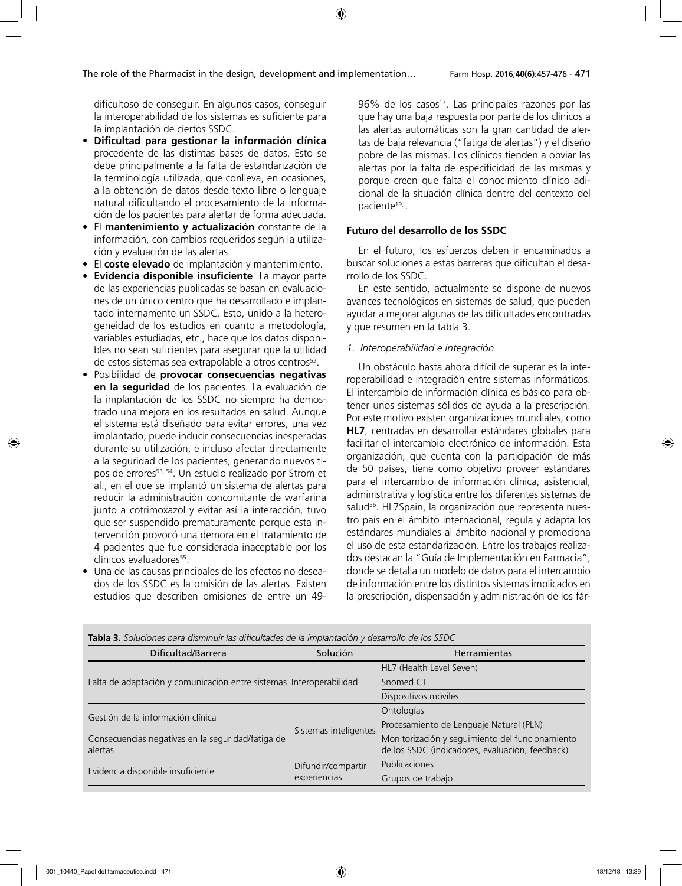dificultoso de conseguir. En algunos casos, conseguir la interoperabilidad de los sistemas es suficiente para la implantación de ciertos SSDC.

- **Dificultad para gestionar la información clínica** procedente de las distintas bases de datos. Esto se debe principalmente a la falta de estandarización de la terminología utilizada, que conlleva, en ocasiones, a la obtención de datos desde texto libre o lenguaje natural dificultando el procesamiento de la información de los pacientes para alertar de forma adecuada.
- El **mantenimiento y actualización** constante de la información, con cambios requeridos según la utilización y evaluación de las alertas.
- El **coste elevado** de implantación y mantenimiento.
- **Evidencia disponible insuficiente**. La mayor parte de las experiencias publicadas se basan en evaluaciones de un único centro que ha desarrollado e implantado internamente un SSDC. Esto, unido a la heterogeneidad de los estudios en cuanto a metodología, variables estudiadas, etc., hace que los datos disponibles no sean suficientes para asegurar que la utilidad de estos sistemas sea extrapolable a otros centros<sup>52</sup>.
- Posibilidad de **provocar consecuencias negativas en la seguridad** de los pacientes. La evaluación de la implantación de los SSDC no siempre ha demostrado una mejora en los resultados en salud. Aunque el sistema está diseñado para evitar errores, una vez implantado, puede inducir consecuencias inesperadas durante su utilización, e incluso afectar directamente a la seguridad de los pacientes, generando nuevos tipos de errores<sup>53, 54</sup>. Un estudio realizado por Strom et al., en el que se implantó un sistema de alertas para reducir la administración concomitante de warfarina junto a cotrimoxazol y evitar así la interacción, tuvo que ser suspendido prematuramente porque esta intervención provocó una demora en el tratamiento de 4 pacientes que fue considerada inaceptable por los clínicos evaluadores<sup>55</sup>.
- Una de las causas principales de los efectos no deseados de los SSDC es la omisión de las alertas. Existen estudios que describen omisiones de entre un 49-

96% de los casos<sup>17</sup>. Las principales razones por las que hay una baja respuesta por parte de los clínicos a las alertas automáticas son la gran cantidad de alertas de baja relevancia ("fatiga de alertas") y el diseño pobre de las mismas. Los clínicos tienden a obviar las alertas por la falta de especificidad de las mismas y porque creen que falta el conocimiento clínico adicional de la situación clínica dentro del contexto del paciente<sup>19,</sup>.

# **Futuro del desarrollo de los SSDC**

En el futuro, los esfuerzos deben ir encaminados a buscar soluciones a estas barreras que dificultan el desarrollo de los SSDC.

En este sentido, actualmente se dispone de nuevos avances tecnológicos en sistemas de salud, que pueden ayudar a mejorar algunas de las dificultades encontradas y que resumen en la tabla 3.

### *1. Interoperabilidad e integración*

Un obstáculo hasta ahora difícil de superar es la interoperabilidad e integración entre sistemas informáticos. El intercambio de información clínica es básico para obtener unos sistemas sólidos de ayuda a la prescripción. Por este motivo existen organizaciones mundiales, como **HL7**, centradas en desarrollar estándares globales para facilitar el intercambio electrónico de información. Esta organización, que cuenta con la participación de más de 50 países, tiene como objetivo proveer estándares para el intercambio de información clínica, asistencial, administrativa y logística entre los diferentes sistemas de salud<sup>56</sup>. HL7Spain, la organización que representa nuestro país en el ámbito internacional, regula y adapta los estándares mundiales al ámbito nacional y promociona el uso de esta estandarización. Entre los trabajos realizados destacan la "Guía de Implementación en Farmacia", donde se detalla un modelo de datos para el intercambio de información entre los distintos sistemas implicados en la prescripción, dispensación y administración de los fár-

| Dificultad/Barrera                                                  | Solución                           | <b>Herramientas</b>                                                                                |
|---------------------------------------------------------------------|------------------------------------|----------------------------------------------------------------------------------------------------|
|                                                                     |                                    | HL7 (Health Level Seven)                                                                           |
| Falta de adaptación y comunicación entre sistemas Interoperabilidad |                                    | Snomed CT                                                                                          |
|                                                                     |                                    | Dispositivos móviles                                                                               |
| Gestión de la información clínica                                   | Sistemas inteligentes              | Ontologías                                                                                         |
|                                                                     |                                    | Procesamiento de Lenguaje Natural (PLN)                                                            |
| Consecuencias negativas en la seguridad/fatiga de<br>alertas        |                                    | Monitorización y seguimiento del funcionamiento<br>de los SSDC (indicadores, evaluación, feedback) |
|                                                                     | Difundir/compartir<br>experiencias | <b>Publicaciones</b>                                                                               |
| Evidencia disponible insuficiente                                   |                                    | Grupos de trabajo                                                                                  |

**Tabla 3.** *Soluciones para disminuir las dificultades de la implantación y desarrollo de los SSDC*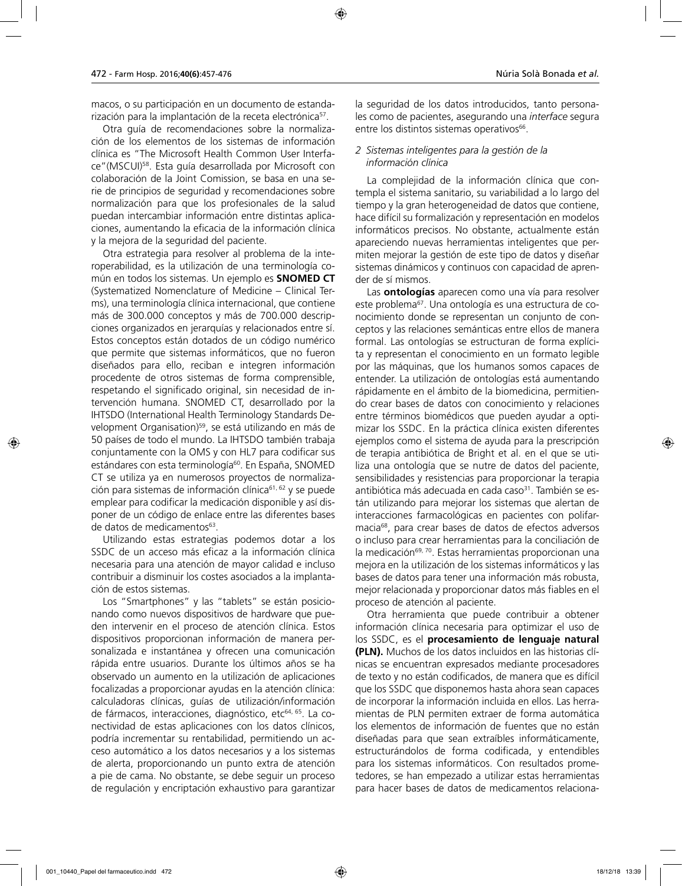macos, o su participación en un documento de estandarización para la implantación de la receta electrónica<sup>57</sup>.

Otra guía de recomendaciones sobre la normalización de los elementos de los sistemas de información clínica es "The Microsoft Health Common User Interface"(MSCUI)58. Esta guía desarrollada por Microsoft con colaboración de la Joint Comission, se basa en una serie de principios de seguridad y recomendaciones sobre normalización para que los profesionales de la salud puedan intercambiar información entre distintas aplicaciones, aumentando la eficacia de la información clínica y la mejora de la seguridad del paciente.

Otra estrategia para resolver al problema de la interoperabilidad, es la utilización de una terminología común en todos los sistemas. Un ejemplo es **SNOMED CT** (Systematized Nomenclature of Medicine – Clinical Terms), una terminología clínica internacional, que contiene más de 300.000 conceptos y más de 700.000 descripciones organizados en jerarquías y relacionados entre sí. Estos conceptos están dotados de un código numérico que permite que sistemas informáticos, que no fueron diseñados para ello, reciban e integren información procedente de otros sistemas de forma comprensible, respetando el significado original, sin necesidad de intervención humana. SNOMED CT, desarrollado por la IHTSDO (International Health Terminology Standards Development Organisation)<sup>59</sup>, se está utilizando en más de 50 países de todo el mundo. La IHTSDO también trabaja conjuntamente con la OMS y con HL7 para codificar sus estándares con esta terminología<sup>60</sup>. En España, SNOMED CT se utiliza ya en numerosos proyectos de normalización para sistemas de información clínica<sup>61, 62</sup> y se puede emplear para codificar la medicación disponible y así disponer de un código de enlace entre las diferentes bases de datos de medicamentos<sup>63</sup>.

Utilizando estas estrategias podemos dotar a los SSDC de un acceso más eficaz a la información clínica necesaria para una atención de mayor calidad e incluso contribuir a disminuir los costes asociados a la implantación de estos sistemas.

Los "Smartphones" y las "tablets" se están posicionando como nuevos dispositivos de hardware que pueden intervenir en el proceso de atención clínica. Estos dispositivos proporcionan información de manera personalizada e instantánea y ofrecen una comunicación rápida entre usuarios. Durante los últimos años se ha observado un aumento en la utilización de aplicaciones focalizadas a proporcionar ayudas en la atención clínica: calculadoras clínicas, guías de utilización/información de fármacos, interacciones, diagnóstico, etc<sup>64, 65</sup>. La conectividad de estas aplicaciones con los datos clínicos, podría incrementar su rentabilidad, permitiendo un acceso automático a los datos necesarios y a los sistemas de alerta, proporcionando un punto extra de atención a pie de cama. No obstante, se debe seguir un proceso de regulación y encriptación exhaustivo para garantizar la seguridad de los datos introducidos, tanto personales como de pacientes, asegurando una *interface* segura entre los distintos sistemas operativos<sup>66</sup>.

#### *2 Sistemas inteligentes para la gestión de la información clínica*

La complejidad de la información clínica que contempla el sistema sanitario, su variabilidad a lo largo del tiempo y la gran heterogeneidad de datos que contiene, hace difícil su formalización y representación en modelos informáticos precisos. No obstante, actualmente están apareciendo nuevas herramientas inteligentes que permiten mejorar la gestión de este tipo de datos y diseñar sistemas dinámicos y continuos con capacidad de aprender de sí mismos.

Las **ontologías** aparecen como una vía para resolver este problema67. Una ontología es una estructura de conocimiento donde se representan un conjunto de conceptos y las relaciones semánticas entre ellos de manera formal. Las ontologías se estructuran de forma explícita y representan el conocimiento en un formato legible por las máquinas, que los humanos somos capaces de entender. La utilización de ontologías está aumentando rápidamente en el ámbito de la biomedicina, permitiendo crear bases de datos con conocimiento y relaciones entre términos biomédicos que pueden ayudar a optimizar los SSDC. En la práctica clínica existen diferentes ejemplos como el sistema de ayuda para la prescripción de terapia antibiótica de Bright et al. en el que se utiliza una ontología que se nutre de datos del paciente, sensibilidades y resistencias para proporcionar la terapia antibiótica más adecuada en cada caso<sup>31</sup>. También se están utilizando para mejorar los sistemas que alertan de interacciones farmacológicas en pacientes con polifarmacia68, para crear bases de datos de efectos adversos o incluso para crear herramientas para la conciliación de la medicación<sup>69, 70</sup>. Estas herramientas proporcionan una mejora en la utilización de los sistemas informáticos y las bases de datos para tener una información más robusta, mejor relacionada y proporcionar datos más fiables en el proceso de atención al paciente.

Otra herramienta que puede contribuir a obtener información clínica necesaria para optimizar el uso de los SSDC, es el **procesamiento de lenguaje natural (PLN).** Muchos de los datos incluidos en las historias clínicas se encuentran expresados mediante procesadores de texto y no están codificados, de manera que es difícil que los SSDC que disponemos hasta ahora sean capaces de incorporar la información incluida en ellos. Las herramientas de PLN permiten extraer de forma automática los elementos de información de fuentes que no están diseñadas para que sean extraíbles informáticamente, estructurándolos de forma codificada, y entendibles para los sistemas informáticos. Con resultados prometedores, se han empezado a utilizar estas herramientas para hacer bases de datos de medicamentos relaciona-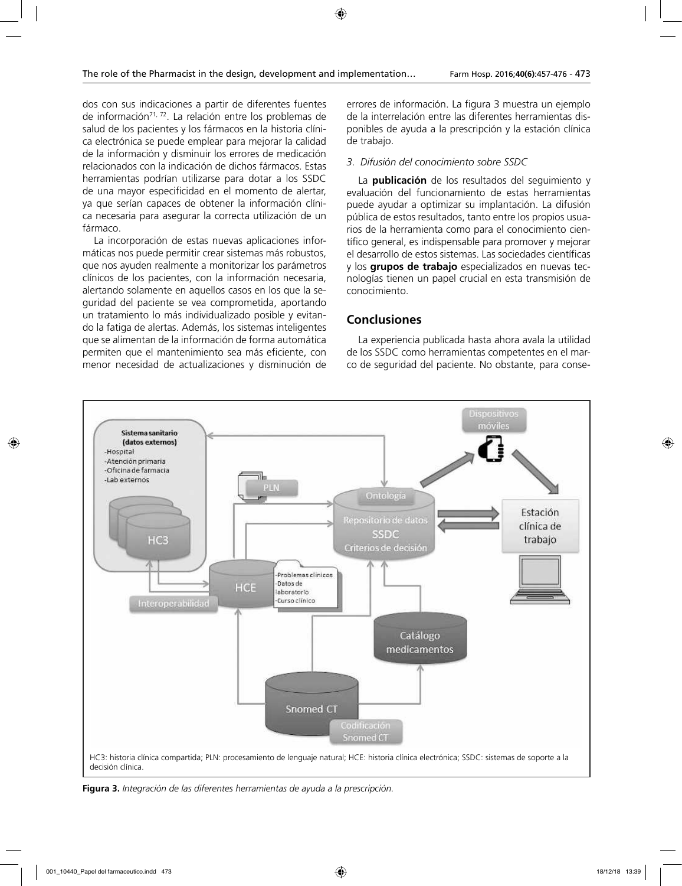dos con sus indicaciones a partir de diferentes fuentes de información<sup>71, 72</sup>. La relación entre los problemas de salud de los pacientes y los fármacos en la historia clínica electrónica se puede emplear para mejorar la calidad de la información y disminuir los errores de medicación relacionados con la indicación de dichos fármacos. Estas herramientas podrían utilizarse para dotar a los SSDC de una mayor especificidad en el momento de alertar, ya que serían capaces de obtener la información clínica necesaria para asegurar la correcta utilización de un fármaco.

La incorporación de estas nuevas aplicaciones informáticas nos puede permitir crear sistemas más robustos, que nos ayuden realmente a monitorizar los parámetros clínicos de los pacientes, con la información necesaria, alertando solamente en aquellos casos en los que la seguridad del paciente se vea comprometida, aportando un tratamiento lo más individualizado posible y evitando la fatiga de alertas. Además, los sistemas inteligentes que se alimentan de la información de forma automática permiten que el mantenimiento sea más eficiente, con menor necesidad de actualizaciones y disminución de errores de información. La figura 3 muestra un ejemplo de la interrelación entre las diferentes herramientas disponibles de ayuda a la prescripción y la estación clínica de trabajo.

#### *3. Difusión del conocimiento sobre SSDC*

La **publicación** de los resultados del seguimiento y evaluación del funcionamiento de estas herramientas puede ayudar a optimizar su implantación. La difusión pública de estos resultados, tanto entre los propios usuarios de la herramienta como para el conocimiento científico general, es indispensable para promover y mejorar el desarrollo de estos sistemas. Las sociedades científicas y los **grupos de trabajo** especializados en nuevas tecnologías tienen un papel crucial en esta transmisión de conocimiento.

### **Conclusiones**

La experiencia publicada hasta ahora avala la utilidad de los SSDC como herramientas competentes en el marco de seguridad del paciente. No obstante, para conse-



**Figura 3.** *Integración de las diferentes herramientas de ayuda a la prescripción.*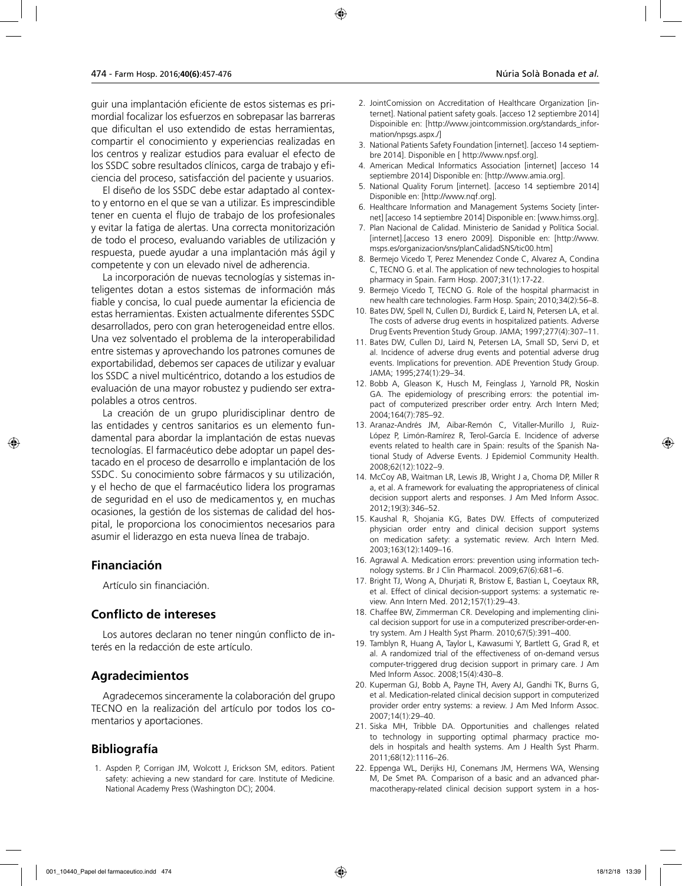guir una implantación eficiente de estos sistemas es primordial focalizar los esfuerzos en sobrepasar las barreras que dificultan el uso extendido de estas herramientas, compartir el conocimiento y experiencias realizadas en los centros y realizar estudios para evaluar el efecto de los SSDC sobre resultados clínicos, carga de trabajo y eficiencia del proceso, satisfacción del paciente y usuarios.

El diseño de los SSDC debe estar adaptado al contexto y entorno en el que se van a utilizar. Es imprescindible tener en cuenta el flujo de trabajo de los profesionales y evitar la fatiga de alertas. Una correcta monitorización de todo el proceso, evaluando variables de utilización y respuesta, puede ayudar a una implantación más ágil y competente y con un elevado nivel de adherencia.

La incorporación de nuevas tecnologías y sistemas inteligentes dotan a estos sistemas de información más fiable y concisa, lo cual puede aumentar la eficiencia de estas herramientas. Existen actualmente diferentes SSDC desarrollados, pero con gran heterogeneidad entre ellos. Una vez solventado el problema de la interoperabilidad entre sistemas y aprovechando los patrones comunes de exportabilidad, debemos ser capaces de utilizar y evaluar los SSDC a nivel multicéntrico, dotando a los estudios de evaluación de una mayor robustez y pudiendo ser extrapolables a otros centros.

La creación de un grupo pluridisciplinar dentro de las entidades y centros sanitarios es un elemento fundamental para abordar la implantación de estas nuevas tecnologías. El farmacéutico debe adoptar un papel destacado en el proceso de desarrollo e implantación de los SSDC. Su conocimiento sobre fármacos y su utilización, y el hecho de que el farmacéutico lidera los programas de seguridad en el uso de medicamentos y, en muchas ocasiones, la gestión de los sistemas de calidad del hospital, le proporciona los conocimientos necesarios para asumir el liderazgo en esta nueva línea de trabajo.

### **Financiación**

Artículo sin financiación.

### **Conflicto de intereses**

Los autores declaran no tener ningún conflicto de interés en la redacción de este artículo.

### **Agradecimientos**

Agradecemos sinceramente la colaboración del grupo TECNO en la realización del artículo por todos los comentarios y aportaciones.

# **Bibliografía**

1. Aspden P, Corrigan JM, Wolcott J, Erickson SM, editors. Patient safety: achieving a new standard for care. Institute of Medicine. National Academy Press (Washington DC); 2004.

- 2. JointComission on Accreditation of Healthcare Organization [internet]. National patient safety goals. [acceso 12 septiembre 2014] Dispoinible en: [http://www.jointcommission.org/standards\_information/npsgs.aspx./]
- 3. National Patients Safety Foundation [internet]. [acceso 14 septiembre 2014]. Disponible en [ http://www.npsf.org].
- 4. American Medical Informatics Association [internet] [acceso 14 septiembre 2014] Disponible en: [http://www.amia.org].
- 5. National Quality Forum [internet]. [acceso 14 septiembre 2014] Disponible en: [http://www.nqf.org].
- 6. Healthcare Information and Management Systems Society [internet] [acceso 14 septiembre 2014] Disponible en: [www.himss.org].
- 7. Plan Nacional de Calidad. Ministerio de Sanidad y Política Social. [internet].[acceso 13 enero 2009]. Disponible en: [http://www. msps.es/organizacion/sns/planCalidadSNS/tic00.htm]
- 8. Bermejo Vicedo T, Perez Menendez Conde C, Alvarez A, Condina C, TECNO G. et al. The application of new technologies to hospital pharmacy in Spain. Farm Hosp. 2007;31(1):17-22.
- 9. Bermejo Vicedo T, TECNO G. Role of the hospital pharmacist in new health care technologies. Farm Hosp. Spain; 2010;34(2):56–8.
- 10. Bates DW, Spell N, Cullen DJ, Burdick E, Laird N, Petersen LA, et al. The costs of adverse drug events in hospitalized patients. Adverse Drug Events Prevention Study Group. JAMA; 1997;277(4):307–11.
- 11. Bates DW, Cullen DJ, Laird N, Petersen LA, Small SD, Servi D, et al. Incidence of adverse drug events and potential adverse drug events. Implications for prevention. ADE Prevention Study Group. JAMA; 1995;274(1):29–34.
- 12. Bobb A, Gleason K, Husch M, Feinglass J, Yarnold PR, Noskin GA. The epidemiology of prescribing errors: the potential impact of computerized prescriber order entry. Arch Intern Med; 2004;164(7):785–92.
- 13. Aranaz-Andrés JM, Aibar-Remón C, Vitaller-Murillo J, Ruiz-López P, Limón-Ramírez R, Terol-García E. Incidence of adverse events related to health care in Spain: results of the Spanish National Study of Adverse Events. J Epidemiol Community Health. 2008;62(12):1022–9.
- 14. McCoy AB, Waitman LR, Lewis JB, Wright J a, Choma DP, Miller R a, et al. A framework for evaluating the appropriateness of clinical decision support alerts and responses. J Am Med Inform Assoc. 2012;19(3):346–52.
- 15. Kaushal R, Shojania KG, Bates DW. Effects of computerized physician order entry and clinical decision support systems on medication safety: a systematic review. Arch Intern Med. 2003;163(12):1409–16.
- 16. Agrawal A. Medication errors: prevention using information technology systems. Br J Clin Pharmacol. 2009;67(6):681–6.
- 17. Bright TJ, Wong A, Dhurjati R, Bristow E, Bastian L, Coeytaux RR, et al. Effect of clinical decision-support systems: a systematic review. Ann Intern Med. 2012;157(1):29–43.
- 18. Chaffee BW, Zimmerman CR. Developing and implementing clinical decision support for use in a computerized prescriber-order-entry system. Am J Health Syst Pharm. 2010;67(5):391–400.
- 19. Tamblyn R, Huang A, Taylor L, Kawasumi Y, Bartlett G, Grad R, et al. A randomized trial of the effectiveness of on-demand versus computer-triggered drug decision support in primary care. J Am Med Inform Assoc. 2008;15(4):430–8.
- 20. Kuperman GJ, Bobb A, Payne TH, Avery AJ, Gandhi TK, Burns G, et al. Medication-related clinical decision support in computerized provider order entry systems: a review. J Am Med Inform Assoc. 2007;14(1):29–40.
- 21. Siska MH, Tribble DA. Opportunities and challenges related to technology in supporting optimal pharmacy practice models in hospitals and health systems. Am J Health Syst Pharm. 2011;68(12):1116–26.
- 22. Eppenga WL, Derijks HJ, Conemans JM, Hermens WA, Wensing M, De Smet PA. Comparison of a basic and an advanced pharmacotherapy-related clinical decision support system in a hos-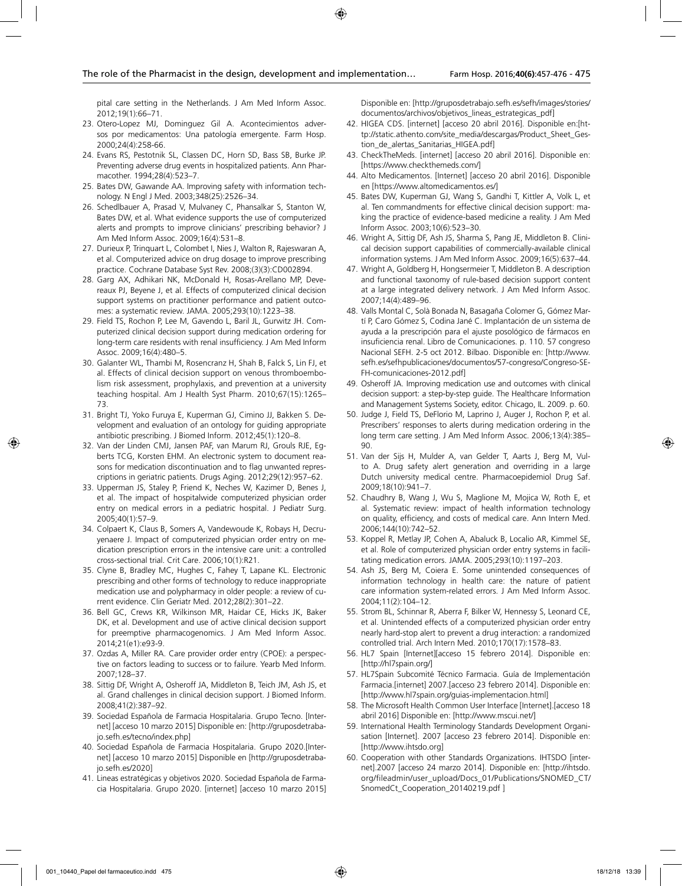pital care setting in the Netherlands. J Am Med Inform Assoc. 2012;19(1):66–71.

- 23. Otero-Lopez MJ, Dominguez Gil A. Acontecimientos adversos por medicamentos: Una patología emergente. Farm Hosp. 2000;24(4):258-66.
- 24. Evans RS, Pestotnik SL, Classen DC, Horn SD, Bass SB, Burke JP. Preventing adverse drug events in hospitalized patients. Ann Pharmacother. 1994;28(4):523–7.
- 25. Bates DW, Gawande AA. Improving safety with information technology. N Engl J Med. 2003;348(25):2526–34.
- 26. Schedlbauer A, Prasad V, Mulvaney C, Phansalkar S, Stanton W, Bates DW, et al. What evidence supports the use of computerized alerts and prompts to improve clinicians' prescribing behavior? J Am Med Inform Assoc. 2009;16(4):531–8.
- 27. Durieux P, Trinquart L, Colombet I, Nies J, Walton R, Rajeswaran A, et al. Computerized advice on drug dosage to improve prescribing practice. Cochrane Database Syst Rev. 2008;(3)(3):CD002894.
- 28. Garg AX, Adhikari NK, McDonald H, Rosas-Arellano MP, Devereaux PJ, Beyene J, et al. Effects of computerized clinical decision support systems on practitioner performance and patient outcomes: a systematic review. JAMA. 2005;293(10):1223–38.
- 29. Field TS, Rochon P, Lee M, Gavendo L, Baril JL, Gurwitz JH. Computerized clinical decision support during medication ordering for long-term care residents with renal insufficiency. J Am Med Inform Assoc. 2009;16(4):480–5.
- 30. Galanter WL, Thambi M, Rosencranz H, Shah B, Falck S, Lin FJ, et al. Effects of clinical decision support on venous thromboembolism risk assessment, prophylaxis, and prevention at a university teaching hospital. Am J Health Syst Pharm. 2010;67(15):1265– 73.
- 31. Bright TJ, Yoko Furuya E, Kuperman GJ, Cimino JJ, Bakken S. Development and evaluation of an ontology for guiding appropriate antibiotic prescribing. J Biomed Inform. 2012;45(1):120–8.
- 32. Van der Linden CMJ, Jansen PAF, van Marum RJ, Grouls RJE, Egberts TCG, Korsten EHM. An electronic system to document reasons for medication discontinuation and to flag unwanted represcriptions in geriatric patients. Drugs Aging. 2012;29(12):957–62.
- 33. Upperman JS, Staley P, Friend K, Neches W, Kazimer D, Benes J, et al. The impact of hospitalwide computerized physician order entry on medical errors in a pediatric hospital. J Pediatr Surg. 2005;40(1):57–9.
- 34. Colpaert K, Claus B, Somers A, Vandewoude K, Robays H, Decruyenaere J. Impact of computerized physician order entry on medication prescription errors in the intensive care unit: a controlled cross-sectional trial. Crit Care. 2006;10(1):R21.
- 35. Clyne B, Bradley MC, Hughes C, Fahey T, Lapane KL. Electronic prescribing and other forms of technology to reduce inappropriate medication use and polypharmacy in older people: a review of current evidence. Clin Geriatr Med. 2012;28(2):301–22.
- 36. Bell GC, Crews KR, Wilkinson MR, Haidar CE, Hicks JK, Baker DK, et al. Development and use of active clinical decision support for preemptive pharmacogenomics. J Am Med Inform Assoc. 2014;21(e1):e93-9.
- 37. Ozdas A, Miller RA. Care provider order entry (CPOE): a perspective on factors leading to success or to failure. Yearb Med Inform. 2007;128–37.
- 38. Sittig DF, Wright A, Osheroff JA, Middleton B, Teich JM, Ash JS, et al. Grand challenges in clinical decision support. J Biomed Inform. 2008;41(2):387–92.
- 39. Sociedad Española de Farmacia Hospitalaria. Grupo Tecno. [Internet] [acceso 10 marzo 2015] Disponible en: [http://gruposdetrabajo.sefh.es/tecno/index.php]
- 40. Sociedad Española de Farmacia Hospitalaria. Grupo 2020.[Internet] [acceso 10 marzo 2015] Disponible en [http://gruposdetrabajo.sefh.es/2020]
- 41. Lineas estratégicas y objetivos 2020. Sociedad Española de Farmacia Hospitalaria. Grupo 2020. [internet] [acceso 10 marzo 2015]

Disponible en: [http://gruposdetrabajo.sefh.es/sefh/images/stories/ documentos/archivos/objetivos\_lineas\_estrategicas\_pdf]

- 42. HIGEA CDS. [internet] [acceso 20 abril 2016]. Disponible en:[http://static.athento.com/site\_media/descargas/Product\_Sheet\_Gestion\_de\_alertas\_Sanitarias\_HIGEA.pdf]
- 43. CheckTheMeds. [internet] [acceso 20 abril 2016]. Disponible en: [https://www.checkthemeds.com/]
- 44. Alto Medicamentos. [Internet] [acceso 20 abril 2016]. Disponible en [https://www.altomedicamentos.es/]
- 45. Bates DW, Kuperman GJ, Wang S, Gandhi T, Kittler A, Volk L, et al. Ten commandments for effective clinical decision support: making the practice of evidence-based medicine a reality. J Am Med Inform Assoc. 2003;10(6):523–30.
- 46. Wright A, Sittig DF, Ash JS, Sharma S, Pang JE, Middleton B. Clinical decision support capabilities of commercially-available clinical information systems. J Am Med Inform Assoc. 2009;16(5):637–44.
- 47. Wright A, Goldberg H, Hongsermeier T, Middleton B. A description and functional taxonomy of rule-based decision support content at a large integrated delivery network. J Am Med Inform Assoc. 2007;14(4):489–96.
- 48. Valls Montal C, Solà Bonada N, Basagaña Colomer G, Gómez Martí P, Caro Gómez S, Codina Jané C. Implantación de un sistema de ayuda a la prescripción para el ajuste posológico de fármacos en insuficiencia renal. Libro de Comunicaciones. p. 110. 57 congreso Nacional SEFH. 2-5 oct 2012. Bilbao. Disponible en: [http://www. sefh.es/sefhpublicaciones/documentos/57-congreso/Congreso-SE-FH-comunicaciones-2012.pdf]
- 49. Osheroff JA. Improving medication use and outcomes with clinical decision support: a step-by-step guide. The Healthcare Information and Management Systems Society, editor. Chicago, IL. 2009. p. 60.
- 50. Judge J, Field TS, DeFlorio M, Laprino J, Auger J, Rochon P, et al. Prescribers' responses to alerts during medication ordering in the long term care setting. J Am Med Inform Assoc. 2006;13(4):385– 90.
- 51. Van der Sijs H, Mulder A, van Gelder T, Aarts J, Berg M, Vulto A. Drug safety alert generation and overriding in a large Dutch university medical centre. Pharmacoepidemiol Drug Saf. 2009;18(10):941–7.
- 52. Chaudhry B, Wang J, Wu S, Maglione M, Mojica W, Roth E, et al. Systematic review: impact of health information technology on quality, efficiency, and costs of medical care. Ann Intern Med. 2006;144(10):742–52.
- 53. Koppel R, Metlay JP, Cohen A, Abaluck B, Localio AR, Kimmel SE, et al. Role of computerized physician order entry systems in facilitating medication errors. JAMA. 2005;293(10):1197–203.
- 54. Ash JS, Berg M, Coiera E. Some unintended consequences of information technology in health care: the nature of patient care information system-related errors. J Am Med Inform Assoc. 2004;11(2):104–12.
- 55. Strom BL, Schinnar R, Aberra F, Bilker W, Hennessy S, Leonard CE, et al. Unintended effects of a computerized physician order entry nearly hard-stop alert to prevent a drug interaction: a randomized controlled trial. Arch Intern Med. 2010;170(17):1578–83.
- 56. HL7 Spain [Internet][acceso 15 febrero 2014]. Disponible en: [http://hl7spain.org/]
- 57. HL7Spain Subcomité Técnico Farmacia. Guía de Implementación Farmacia.[internet] 2007.[acceso 23 febrero 2014]. Disponible en: [http://www.hl7spain.org/guias-implementacion.html]
- 58. The Microsoft Health Common User Interface [Internet].[acceso 18 abril 2016] Disponible en: [http://www.mscui.net/]
- 59. International Health Terminology Standards Development Organisation [Internet]. 2007 [acceso 23 febrero 2014]. Disponible en: [http://www.ihtsdo.org]
- 60. Cooperation with other Standards Organizations. IHTSDO [internet].2007 [acceso 24 marzo 2014]. Disponible en: [http://ihtsdo. org/fileadmin/user\_upload/Docs\_01/Publications/SNOMED\_CT/ SnomedCt\_Cooperation\_20140219.pdf ]